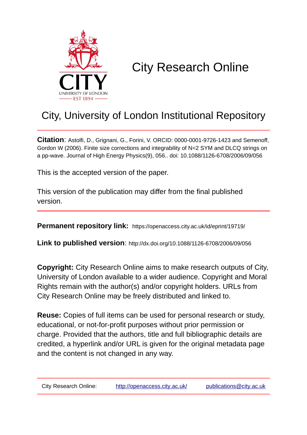

# City Research Online

## City, University of London Institutional Repository

**Citation**: Astolfi, D., Grignani, G., Forini, V. ORCID: 0000-0001-9726-1423 and Semenoff, Gordon W (2006). Finite size corrections and integrability of N=2 SYM and DLCQ strings on a pp-wave. Journal of High Energy Physics(9), 056.. doi: 10.1088/1126-6708/2006/09/056

This is the accepted version of the paper.

This version of the publication may differ from the final published version.

**Permanent repository link:** https://openaccess.city.ac.uk/id/eprint/19719/

**Link to published version**: http://dx.doi.org/10.1088/1126-6708/2006/09/056

**Copyright:** City Research Online aims to make research outputs of City, University of London available to a wider audience. Copyright and Moral Rights remain with the author(s) and/or copyright holders. URLs from City Research Online may be freely distributed and linked to.

**Reuse:** Copies of full items can be used for personal research or study, educational, or not-for-profit purposes without prior permission or charge. Provided that the authors, title and full bibliographic details are credited, a hyperlink and/or URL is given for the original metadata page and the content is not changed in any way.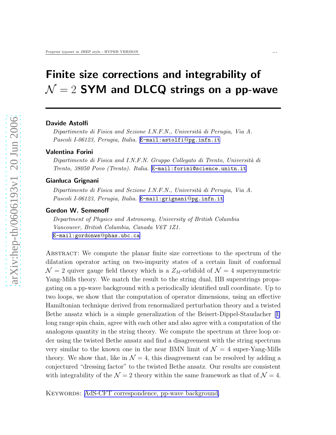## Finite size corrections and integrability of  $\mathcal{N}=2$  SYM and DLCQ strings on a pp-wave

#### Davide Astolfi

Dipartimento di Fisica and Sezione I.N.F.N., Università di Perugia, Via A. Pascoli I-06123, Perugia, Italia. [E-mail:astolfi](mailto:E-mail:astolfi$@$pg.infn.it)@pg.infn.it

#### Valentina Forini

Dipartimento di Fisica and I.N.F.N. Gruppo Collegato di Trento, Università di Trento, 38050 Povo (Trento). Italia. [E-mail:forini@science.unitn.it](mailto:E-mail:forini@science.unitn.it)

#### Gianluca Grignani

Dipartimento di Fisica and Sezione I.N.F.N., Università di Perugia, Via A. Pascoli I-06123, Perugia, Italia. [E-mail:grignani](mailto:E-mail:grignani$@$pg.infn.it)@pg.infn.it

#### Gordon W. Semenoff

Department of Physics and Astronomy, University of British Columbia Vancouver, British Columbia, Canada V6T 1Z1. [E-mail:gordonws](mailto:E-mail:gordonws$@$phas.ubc.ca) @phas.ubc.ca

ABSTRACT: We compute the planar finite size corrections to the spectrum of the dilatation operator acting on two-impurity states of a certain limit of conformal  $\mathcal{N} = 2$  quiver gauge field theory which is a  $Z_M$ -orbifold of  $\mathcal{N} = 4$  supersymmetric Yang-Mills theory. We match the result to the string dual, IIB superstrings propagating on a pp-wave background with a periodically identified null coordinate. Up to two loops, we show that the computation of operator dimensions, using an effective Hamiltonian technique derived from renormalized perturbation theory and a twisted Bethe ansatz which is a simple generalization of the Beisert-Dippel-Staudacher[[1\]](#page-25-0) long range spin chain, agree with each other and also agree with a computation of the analogous quantity in the string theory. We compute the spectrum at three loop order using the twisted Bethe ansatz and find a disagreement with the string spectrum very similar to the known one in the near BMN limit of  $\mathcal{N}=4$  super-Yang-Mills theory. We show that, like in  $\mathcal{N} = 4$ , this disagreement can be resolved by adding a conjectured "dressing factor" to the twisted Bethe ansatz. Our results are consistent with integrability of the  $\mathcal{N}=2$  theory within the same framework as that of  $\mathcal{N}=4$ .

KEYWORDS: [AdS-CFT correspondence, pp-wave background.](http://jhep.sissa.it/stdsearch?keywords=AdS-CFT_correspondence+pp-wave_background)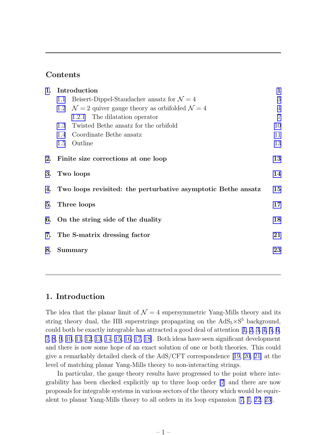## Contents

|    | 1. Introduction                                                  |                                                                   | $\mathbf{1}$   |
|----|------------------------------------------------------------------|-------------------------------------------------------------------|----------------|
|    | 1.1                                                              | Beisert-Dippel-Staudacher ansatz for $\mathcal{N}=4$              | 3              |
|    | 1.2                                                              | $\mathcal{N}=2$ quiver gauge theory as orbifolded $\mathcal{N}=4$ | $\overline{4}$ |
|    |                                                                  | 1.2.1 The dilatation operator                                     | $\overline{7}$ |
|    | 1.3                                                              | Twisted Bethe ansatz for the orbifold                             | 10             |
|    | 1.4                                                              | Coordinate Bethe ansatz                                           | 11             |
|    |                                                                  | 1.5 Outline                                                       | 13             |
|    | 2. Finite size corrections at one loop                           |                                                                   | 13             |
|    | 3. Two loops                                                     |                                                                   | 14             |
|    | 4. Two loops revisited: the perturbative asymptotic Bethe ansatz |                                                                   | 15             |
|    | 5. Three loops                                                   |                                                                   | 17             |
|    | 6. On the string side of the duality                             |                                                                   | 18             |
|    | 7. The S-matrix dressing factor                                  |                                                                   | 21             |
| 8. |                                                                  | Summary                                                           | 23             |
|    |                                                                  |                                                                   |                |

## 1. Introduction

The idea that the planar limit of  $\mathcal{N} = 4$  supersymmetric Yang-Mills theory and its string theory dual, the IIB superstrings propagating on the  $AdS_5 \times S^5$  background, couldboth be exactly integrable has attracted a good deal of attention  $[1, 2, 3, 4, 5, 6]$ [7](#page-25-0), [8](#page-25-0), [9](#page-25-0), [10](#page-26-0), [11](#page-26-0), [12](#page-26-0), [13](#page-26-0), [14, 15, 16, 17, 18\]](#page-26-0). Both ideas have seen significant development and there is now some hope of an exact solution of one or both theories. This could give a remarkably detailed check of the AdS/CFT correspondence[[19, 20](#page-26-0), [21\]](#page-26-0) at the level of matching planar Yang-Mills theory to non-interacting strings.

In particular, the gauge theory results have progressed to the point where integrability has been checked explicitly up to three loop order [\[7](#page-25-0)] and there are now proposals for integrable systems in various sectors of the theory which would be equivalent to planar Yang-Mills theory to all orders in its loop expansion[[7, 1,](#page-25-0) [22](#page-26-0), [23](#page-26-0)].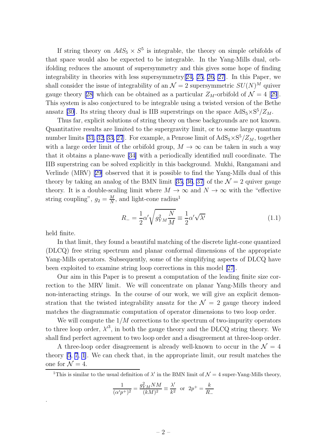If string theory on  $AdS_5 \times S^5$  is integrable, the theory on simple orbifolds of that space would also be expected to be integrable. In the Yang-Mills dual, orbifolding reduces the amount of supersymmetry and this gives some hope of finding integrability in theories with less supersymmetry[[24, 25](#page-26-0), [26, 27\]](#page-27-0). In this Paper, we shall consider the issue of integrability of an  $\mathcal{N}=2$  supersymmetric  $SU(N)^M$  quiver gaugetheory [[28\]](#page-27-0) which can be obtained as a particular  $Z_M$ -orbifold of  $\mathcal{N} = 4$  [[29](#page-27-0)]. This system is also conjectured to be integrable using a twisted version of the Bethe ansatz [\[30\]](#page-27-0). Its string theory dual is IIB superstrings on the space  $AdS_5 \times S^5/Z_M$ .

Thus far, explicit solutions of string theory on these backgrounds are not known. Quantitative results are limited to the supergravity limit, or to some large quantum number limits [\[31](#page-27-0), [32, 33, 27](#page-27-0)]. For example, a Penrose limit of  $AdS_5 \times S^5/Z_M$ , together with a large order limit of the orbifold group,  $M \to \infty$  can be taken in such a way that it obtains a plane-wave [\[34\]](#page-27-0) with a periodically identified null coordinate. The IIB superstring can be solved explicitly in this background. Mukhi, Rangamani and Verlinde (MRV) [\[29\]](#page-27-0) observed that it is possible to find the Yang-Mills dual of this theory by taking an analog of the BMN limit [\[35, 36](#page-27-0), [37](#page-27-0)] of the  $\mathcal{N}=2$  quiver gauge theory. It is a double-scaling limit where  $M \to \infty$  and  $N \to \infty$  with the "effective string coupling",  $g_2 = \frac{M}{N}$  $\frac{M}{N}$ , and light-cone radius<sup>1</sup>

$$
R_{-} = \frac{1}{2}\alpha' \sqrt{g_{YM}^2 \frac{N}{M}} \equiv \frac{1}{2}\alpha' \sqrt{\lambda'}
$$
\n(1.1)

held finite.

.

In that limit, they found a beautiful matching of the discrete light-cone quantized (DLCQ) free string spectrum and planar conformal dimensions of the appropriate Yang-Mills operators. Subsequently, some of the simplifying aspects of DLCQ have been exploited to examine string loop corrections in this model [\[27\]](#page-27-0).

Our aim in this Paper is to present a computation of the leading finite size correction to the MRV limit. We will concentrate on planar Yang-Mills theory and non-interacting strings. In the course of our work, we will give an explicit demonstration that the twisted integrability ansatz for the  $\mathcal{N} = 2$  gauge theory indeed matches the diagrammatic computation of operator dimensions to two loop order.

We will compute the  $1/M$  corrections to the spectrum of two-impurity operators to three loop order,  $\lambda'^3$ , in both the gauge theory and the DLCQ string theory. We shall find perfect agreement to two loop order and a disagreement at three-loop order.

A three-loop order disagreement is already well-known to occur in the  $\mathcal{N} = 4$ theory [\[5](#page-25-0), [7](#page-25-0), [1](#page-25-0)]. We can check that, in the appropriate limit, our result matches the one for  $\mathcal{N}=4$ .

<sup>1</sup>This is similar to the usual definition of  $\lambda'$  in the BMN limit of  $\mathcal{N}=4$  super-Yang-Mills theory,

$$
\frac{1}{(\alpha'p^+)^2} = \frac{g_{YM}^2 NM}{(kM)^2} \equiv \frac{\lambda'}{k^2} \text{ or } 2p^+ = \frac{k}{R_-}
$$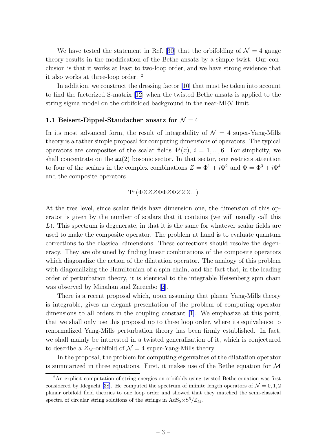<span id="page-4-0"></span>We have tested the statement in Ref. [\[30\]](#page-27-0) that the orbifolding of  $\mathcal{N}=4$  gauge theory results in the modification of the Bethe ansatz by a simple twist. Our conclusion is that it works at least to two-loop order, and we have strong evidence that it also works at three-loop order. <sup>2</sup>

In addition, we construct the dressing factor [\[10\]](#page-26-0) that must be taken into account to find the factorized S-matrix [\[12\]](#page-26-0) when the twisted Bethe ansatz is applied to the string sigma model on the orbifolded background in the near-MRV limit.

#### 1.1 Beisert-Dippel-Staudacher ansatz for  $\mathcal{N}=4$

In its most advanced form, the result of integrability of  $\mathcal{N} = 4$  super-Yang-Mills theory is a rather simple proposal for computing dimensions of operators. The typical operators are composites of the scalar fields  $\Phi^{i}(x), i = 1, ..., 6$ . For simplicity, we shall concentrate on the  $\mathfrak{su}(2)$  bosonic sector. In that sector, one restricts attention to four of the scalars in the complex combinations  $Z = \Phi^1 + i\Phi^2$  and  $\Phi = \Phi^3 + i\Phi^4$ and the composite operators

#### Tr  $(\Phi ZZZ\Phi\Phi ZZZZ...)$

At the tree level, since scalar fields have dimension one, the dimension of this operator is given by the number of scalars that it contains (we will usually call this  $L$ ). This spectrum is degenerate, in that it is the same for whatever scalar fields are used to make the composite operator. The problem at hand is to evaluate quantum corrections to the classical dimensions. These corrections should resolve the degeneracy. They are obtained by finding linear combinations of the composite operators which diagonalize the action of the dilatation operator. The analogy of this problem with diagonalizing the Hamiltonian of a spin chain, and the fact that, in the leading order of perturbation theory, it is identical to the integrable Heisenberg spin chain was observed by Minahan and Zarembo [\[2\]](#page-25-0).

There is a recent proposal which, upon assuming that planar Yang-Mills theory is integrable, gives an elegant presentation of the problem of computing operator dimensions to all orders in the coupling constant [\[1\]](#page-25-0). We emphasize at this point, that we shall only use this proposal up to three loop order, where its equivalence to renormalized Yang-Mills perturbation theory has been firmly established. In fact, we shall mainly be interested in a twisted generalization of it, which is conjectured to describe a  $Z_M$ -orbifold of  $\mathcal{N}=4$  super-Yang-Mills theory.

In the proposal, the problem for computing eigenvalues of the dilatation operator is summarized in three equations. First, it makes use of the Bethe equation for  $\mathcal M$ 

<sup>&</sup>lt;sup>2</sup>An explicit computation of string energies on orbifolds using twisted Bethe equation was first considered by Ideguchi [\[38](#page-27-0)]. He computed the spectrum of infinite length operators of  $\mathcal{N} = 0, 1, 2$ planar orbifold field theories to one loop order and showed that they matched the semi-classical spectra of circular string solutions of the strings in  $AdS_5 \times S^5/Z_M$ .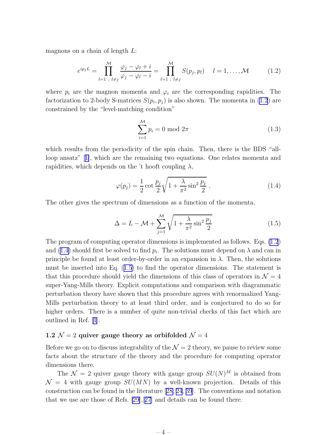<span id="page-5-0"></span>magnons on a chain of length L:

$$
e^{ip_j L} = \prod_{l=1}^{M} \frac{\varphi_j - \varphi_l + i}{\varphi_j - \varphi_l - i} = \prod_{l=1}^{M} S(p_j, p_l) \quad l = 1, ..., \mathcal{M}
$$
 (1.2)

where  $p_i$  are the magnon momenta and  $\varphi_i$  are the corresponding rapidities. The factorization to 2-body S-matrices  $S(p_i, p_j)$  is also shown. The momenta in (1.2) are constrained by the "level-matching condition"

$$
\sum_{i=1}^{M} p_i = 0 \mod 2\pi
$$
\n(1.3)

which results from the periodicity of the spin chain. Then, there is the BDS "allloop ansatz"[[1\]](#page-25-0), which are the remaining two equations. One relates momenta and rapidities, which depends on the 't hooft coupling  $\lambda$ ,

$$
\varphi(p_j) = \frac{1}{2}\cot\frac{p_j}{2}\sqrt{1 + \frac{\lambda}{\pi^2}\sin^2\frac{p_j}{2}}.
$$
\n(1.4)

The other gives the spectrum of dimensions as a function of the momenta,

$$
\Delta = L - \mathcal{M} + \sum_{j=1}^{\mathcal{M}} \sqrt{1 + \frac{\lambda}{\pi^2} \sin^2 \frac{p_j}{2}} \tag{1.5}
$$

The program of computing operator dimensions is implemented as follows. Eqs. (1.2) and (1.4) should first be solved to find  $p_i$ . The solutions must depend on  $\lambda$  and can in principle be found at least order-by-order in an expansion in  $\lambda$ . Then, the solutions must be inserted into Eq. (1.5) to find the operator dimensions. The statement is that this procedure should yield the dimensions of this class of operators in  $\mathcal{N}=4$ super-Yang-Mills theory. Explicit computations and comparison with diagrammatic perturbation theory have shown that this procedure agrees with renormalized Yang-Mills perturbation theory to at least third order, and is conjectured to do so for higher orders. There is a number of quite non-trivial checks of this fact which are outlined in Ref. [\[1](#page-25-0)].

## 1.2  $\mathcal{N} = 2$  quiver gauge theory as orbifolded  $\mathcal{N} = 4$

Before we go on to discuss integrability of the  $\mathcal{N} = 2$  theory, we pause to review some facts about the structure of the theory and the procedure for computing operator dimensions there.

The  $\mathcal{N}=2$  quiver gauge theory with gauge group  $SU(N)^M$  is obtained from  $\mathcal{N} = 4$  with gauge group  $SU(MN)$  by a well-known projection. Details of this construction can be found in the literature[[28,](#page-27-0) [24](#page-26-0), [39](#page-27-0)]. The conventions and notation that we use are those of Refs. [\[29\]](#page-27-0),[[27](#page-27-0)] and details can be found there.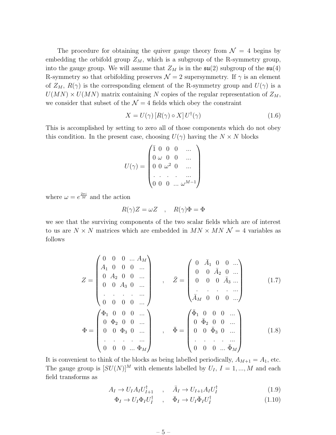<span id="page-6-0"></span>The procedure for obtaining the quiver gauge theory from  $\mathcal{N} = 4$  begins by embedding the orbifold group  $Z_M$ , which is a subgroup of the R-symmetry group, into the gauge group. We will assume that  $Z_M$  is in the  $\mathfrak{su}(2)$  subgroup of the  $\mathfrak{su}(4)$ R-symmetry so that orbifolding preserves  $\mathcal{N} = 2$  supersymmetry. If  $\gamma$  is an element of  $Z_M$ ,  $R(\gamma)$  is the corresponding element of the R-symmetry group and  $U(\gamma)$  is a  $U(MN) \times U(MN)$  matrix containing N copies of the regular representation of  $Z_M$ , we consider that subset of the  $\mathcal{N} = 4$  fields which obey the constraint

$$
X = U(\gamma) [R(\gamma) \circ X] U^{\dagger}(\gamma)
$$
\n(1.6)

This is accomplished by setting to zero all of those components which do not obey this condition. In the present case, choosing  $U(\gamma)$  having the  $N \times N$  blocks

$$
U(\gamma) = \begin{pmatrix} \bar{1} & 0 & 0 & 0 & \dots \\ 0 & \omega & 0 & 0 & \dots \\ 0 & 0 & \omega^2 & 0 & \dots \\ \vdots & \vdots & \vdots & \ddots & \vdots \\ 0 & 0 & 0 & \dots & \omega^{M-1} \end{pmatrix}
$$

where  $\omega = e^{\frac{2\pi i}{M}}$  and the action

$$
R(\gamma)Z = \omega Z \quad , \quad R(\gamma)\Phi = \Phi
$$

we see that the surviving components of the two scalar fields which are of interest to us are  $N \times N$  matrices which are embedded in  $MN \times MN = 4$  variables as follows

$$
Z = \begin{pmatrix} 0 & 0 & 0 & \dots & A_M \\ A_1 & 0 & 0 & 0 & \dots \\ 0 & A_2 & 0 & 0 & \dots \\ 0 & 0 & A_3 & 0 & \dots \\ \vdots & \vdots & \vdots & \vdots & \vdots \\ 0 & 0 & 0 & 0 & \dots \end{pmatrix} , \quad \bar{Z} = \begin{pmatrix} 0 & \bar{A}_1 & 0 & 0 & \dots \\ 0 & 0 & \bar{A}_2 & 0 & \dots \\ 0 & 0 & 0 & \bar{A}_3 & \dots \\ \vdots & \vdots & \vdots & \vdots & \vdots \\ \bar{A}_M & 0 & 0 & 0 & \dots \\ 0 & 0 & 0 & \dots \end{pmatrix} (1.7)
$$
  

$$
\Phi = \begin{pmatrix} \Phi_1 & 0 & 0 & 0 & \dots \\ 0 & \Phi_2 & 0 & 0 & \dots \\ 0 & 0 & \Phi_3 & 0 & \dots \\ \vdots & \vdots & \vdots & \vdots & \vdots \\ 0 & 0 & 0 & \bar{\Phi}_3 & 0 & \dots \\ 0 & 0 & 0 & \dots & \bar{\Phi}_M \end{pmatrix} (1.8)
$$

It is convenient to think of the blocks as being labelled periodically,  $A_{M+1} = A_1$ , etc. The gauge group is  $[SU(N)]^M$  with elements labelled by  $U_I$ ,  $I = 1, ..., M$  and each field transforms as

$$
A_I \to U_I A_I U_{I+1}^{\dagger} \quad , \quad \bar{A}_I \to U_{I+1} A_I U_I^{\dagger} \tag{1.9}
$$

$$
\Phi_I \to U_I \Phi_I U_I^{\dagger} \quad , \quad \bar{\Phi}_I \to U_I \bar{\Phi}_I U_I^{\dagger} \tag{1.10}
$$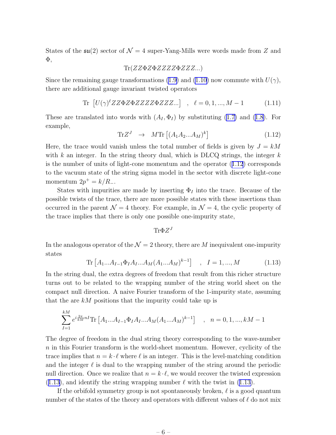<span id="page-7-0"></span>States of the  $\mathfrak{su}(2)$  sector of  $\mathcal{N}=4$  super-Yang-Mills were words made from Z and Φ,

$$
\text{Tr}(ZZ\Phi Z\Phi ZZZZ\Phi ZZZ...)
$$

Sincethe remaining gauge transformations ([1.9\)](#page-6-0) and [\(1.10\)](#page-6-0) now commute with  $U(\gamma)$ , there are additional gauge invariant twisted operators

$$
\text{Tr}\left[U(\gamma)^{\ell} Z Z \Phi Z Z Z Z Z \Phi Z Z Z \ldots\right] \quad , \quad \ell = 0, 1, \ldots, M - 1 \tag{1.11}
$$

Theseare translated into words with  $(A_I, \Phi_I)$  by substituting ([1.7\)](#page-6-0) and ([1.8](#page-6-0)). For example,

$$
\text{Tr}Z^{J} \rightarrow M \text{Tr} \left[ (A_1 A_2 ... A_M)^k \right] \tag{1.12}
$$

Here, the trace would vanish unless the total number of fields is given by  $J = kM$ with k an integer. In the string theory dual, which is DLCQ strings, the integer  $k$ is the number of units of light-cone momentum and the operator (1.12) corresponds to the vacuum state of the string sigma model in the sector with discrete light-cone momentum  $2p^+ = k/R_-.$ 

States with impurities are made by inserting  $\Phi_I$  into the trace. Because of the possible twists of the trace, there are more possible states with these insertions than occurred in the parent  $\mathcal{N} = 4$  theory. For example, in  $\mathcal{N} = 4$ , the cyclic property of the trace implies that there is only one possible one-impurity state,

 $\hbox{Tr}\Phi Z^J$ 

In the analogous operator of the  $\mathcal{N} = 2$  theory, there are M inequivalent one-impurity states

$$
\text{Tr}\left[A_{1}...A_{I-1}\Phi_{I}A_{I}...A_{M}(A_{1}...A_{M})^{k-1}\right] \quad , \quad I=1,...,M \tag{1.13}
$$

In the string dual, the extra degrees of freedom that result from this richer structure turns out to be related to the wrapping number of the string world sheet on the compact null direction. A naive Fourier transform of the 1-impurity state, assuming that the are  $kM$  positions that the impurity could take up is

$$
\sum_{I=1}^{kM} e^{i\frac{2\pi}{kM}nI} \text{Tr} \left[ A_1 ... A_{I-1} \Phi_I A_I ... A_M (A_1 ... A_M)^{k-1} \right] , \quad n = 0, 1, ..., kM - 1
$$

The degree of freedom in the dual string theory corresponding to the wave-number  $n$  in this Fourier transform is the world-sheet momentum. However, cyclicity of the trace implies that  $n = k \cdot \ell$  where  $\ell$  is an integer. This is the level-matching condition and the integer  $\ell$  is dual to the wrapping number of the string around the periodic null direction. Once we realize that  $n = k \cdot \ell$ , we would recover the twisted expression  $(1.13)$ , and identify the string wrapping number  $\ell$  with the twist in  $(1.13)$ .

If the orbifold symmetry group is not spontaneously broken,  $\ell$  is a good quantum number of the states of the theory and operators with different values of  $\ell$  do not mix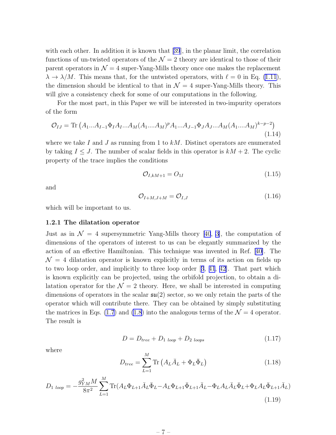<span id="page-8-0"></span>witheach other. In addition it is known that [[39](#page-27-0)], in the planar limit, the correlation functions of un-twisted operators of the  $\mathcal{N}=2$  theory are identical to those of their parent operators in  $\mathcal{N} = 4$  super-Yang-Mills theory once one makes the replacement  $\lambda \to \lambda/M$ . This means that, for the untwisted operators, with  $\ell = 0$  in Eq. [\(1.11](#page-7-0)), the dimension should be identical to that in  $\mathcal{N} = 4$  super-Yang-Mills theory. This will give a consistency check for some of our computations in the following.

For the most part, in this Paper we will be interested in two-impurity operators of the form

$$
\mathcal{O}_{IJ} = \text{Tr}\left(A_1...A_{I-1}\Phi_I A_I...A_M(A_1....A_M)^p A_1...A_{J-1}\Phi_J A_J...A_M(A_1....A_M)^{k-p-2}\right)
$$
\n(1.14)

where we take I and J as running from 1 to  $kM$ . Distinct operators are enumerated by taking  $I \leq J$ . The number of scalar fields in this operator is  $kM + 2$ . The cyclic property of the trace implies the conditions

$$
\mathcal{O}_{I,kM+1} = O_{1I} \tag{1.15}
$$

and

$$
\mathcal{O}_{I+M,J+M} = \mathcal{O}_{I,J} \tag{1.16}
$$

which will be important to us.

#### 1.2.1 The dilatation operator

Justas in  $\mathcal{N} = 4$  supersymmetric Yang-Mills theory [[40](#page-27-0), [3\]](#page-25-0), the computation of dimensions of the operators of interest to us can be elegantly summarized by the action of an effective Hamiltonian. This technique was invented in Ref. [[40\]](#page-27-0). The  $\mathcal{N} = 4$  dilatation operator is known explicitly in terms of its action on fields up to two loop order, and implicitly to three loop order[[3](#page-25-0), [41](#page-28-0), [42\]](#page-28-0). That part which is known explicitly can be projected, using the orbifold projection, to obtain a dilatation operator for the  $\mathcal{N} = 2$  theory. Here, we shall be interested in computing dimensions of operators in the scalar  $\mathfrak{su}(2)$  sector, so we only retain the parts of the operator which will contribute there. They can be obtained by simply substituting the matrices in Eqs. [\(1.7](#page-6-0)) and [\(1.8](#page-6-0)) into the analogous terms of the  $\mathcal{N}=4$  operator. The result is

$$
D = D_{tree} + D_{1 \; loop} + D_{2 \; loops} \tag{1.17}
$$

where

$$
D_{tree} = \sum_{L=1}^{M} \text{Tr} \left( A_L \bar{A}_L + \Phi_L \bar{\Phi}_L \right) \tag{1.18}
$$

$$
D_{1\ loop} = -\frac{g_{YM}^2 M}{8\pi^2} \sum_{L=1}^{M} \text{Tr}(A_L \Phi_{L+1} \bar{A}_L \bar{\Phi}_L - A_L \Phi_{L+1} \bar{\Phi}_{L+1} \bar{A}_L - \Phi_L A_L \bar{A}_L \bar{\Phi}_L + \Phi_L A_L \bar{\Phi}_{L+1} \bar{A}_L)
$$
\n(1.19)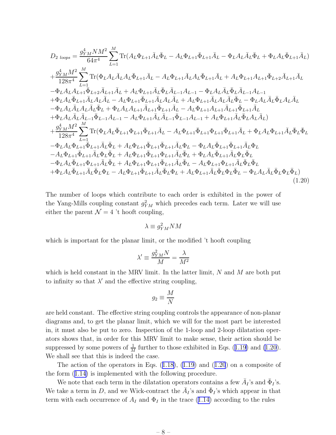<span id="page-9-0"></span>
$$
D_{2\; loops} = \frac{g_{YM}^{4}NM^{2}}{64\pi^{4}} \sum_{L=1}^{M} \text{Tr}(A_{L}\Phi_{L+1}\bar{A}_{L}\bar{\Phi}_{L}-A_{L}\Phi_{L+1}\bar{\Phi}_{L+1}\bar{A}_{L}-\Phi_{L}A_{L}\bar{A}_{L}\bar{\Phi}_{L}+\Phi_{L}A_{L}\bar{\Phi}_{L+1}\bar{A}_{L})
$$
\n
$$
+ \frac{g_{YM}^{4}M^{2}}{128\pi^{4}} \sum_{L=1}^{M} \text{Tr}(\Phi_{L}A_{L}\bar{A}_{L}A_{L}\bar{\Phi}_{L+1}\bar{A}_{L}-A_{L}\Phi_{L+1}\bar{A}_{L}A_{L}\bar{\Phi}_{L+1}\bar{A}_{L}+A_{L}\Phi_{L+1}A_{L+1}\bar{\Phi}_{L+2}\bar{A}_{L+1}\bar{A}_{L})
$$
\n
$$
- \Phi_{L}A_{L}A_{L+1}\bar{\Phi}_{L+2}\bar{A}_{L+1}\bar{A}_{L}+A_{L}\Phi_{L+1}\bar{A}_{L}\bar{\Phi}_{L}\bar{A}_{L-1}A_{L-1}-\Phi_{L}A_{L}\bar{A}_{L}\bar{\Phi}_{L}\bar{A}_{L-1}A_{L-1}
$$
\n
$$
+ \Phi_{L}A_{L}\bar{\Phi}_{L+1}\bar{A}_{L}A_{L}\bar{A}_{L}-A_{L}\Phi_{L+1}\bar{A}_{L}A_{L}\bar{A}_{L}-A_{L}\Phi_{L+1}\bar{A}_{L}A_{L}\bar{A}_{L}\bar{\Phi}_{L}-\Phi_{L}A_{L}\bar{A}_{L}\bar{A}_{L}\bar{\Phi}_{L}
$$
\n
$$
- \Phi_{L}A_{L}\bar{A}_{L}\bar{A}_{L}\bar{\Phi}_{L}+\Phi_{L}A_{L}A_{L+1}\bar{A}_{L+1}\bar{A}_{L+1}\bar{\Phi}_{L+1}\bar{A}_{L}-A_{L}\Phi_{L+1}\bar{A}_{L}A_{L}\bar{A}_{L}\bar{\Phi}_{L}-\Phi_{L}A_{L}\bar{A}_{L}\bar{A}_{L}\bar{\Phi}_{L}
$$
\n
$$
+ \Phi_{L}A_{L}\bar{A}_{L}\bar{A}_{L}\bar{\Phi}_{L}-\Phi_{L}A_{L}\bar{A}_{L}\bar{\Phi}_{L-1}A_{L-1}-A_{L}\Phi_{L+1}\bar{A}_{
$$

The number of loops which contribute to each order is exhibited in the power of the Yang-Mills coupling constant  $g_{YM}^2$  which precedes each term. Later we will use either the parent  $\mathcal{N} = 4$  't hooft coupling,

$$
\lambda \equiv g_{YM}^2 N M
$$

which is important for the planar limit, or the modified 't hooft coupling

$$
\lambda' \equiv \frac{g_{YM}^2 N}{M} = \frac{\lambda}{M^2}
$$

which is held constant in the MRV limit. In the latter limit,  $N$  and  $M$  are both put to infinity so that  $\lambda'$  and the effective string coupling,

$$
g_2 \equiv \frac{M}{N}
$$

are held constant. The effective string coupling controls the appearance of non-planar diagrams and, to get the planar limit, which we will for the most part be interested in, it must also be put to zero. Inspection of the 1-loop and 2-loop dilatation operators shows that, in order for this MRV limit to make sense, their action should be suppressedby some powers of  $\frac{1}{M}$  further to those exhibited in Eqs. ([1.19\)](#page-8-0) and (1.20). We shall see that this is indeed the case.

Theaction of the operators in Eqs.  $(1.18)$  $(1.18)$ ,  $(1.19)$  and  $(1.20)$  on a composite of the form([1.14\)](#page-8-0) is implemented with the following procedure.

We note that each term in the dilatation operators contains a few  $\bar{A}_I$ 's and  $\bar{\Phi}_I$ 's. We take a term in D, and we Wick-contract the  $\bar{A}_I$ 's and  $\bar{\Phi}_I$ 's which appear in that termwith each occurrence of  $A_I$  and  $\Phi_I$  in the trace ([1.14\)](#page-8-0) according to the rules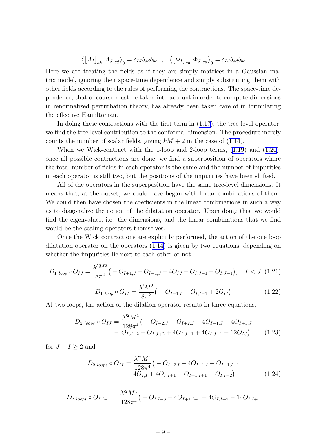$$
\langle \left[ \bar{A}_I \right]_{ab} \left[ A_J \right]_{cd} \rangle_0 = \delta_{IJ} \delta_{ad} \delta_{bc} , \quad \langle \left[ \bar{\Phi}_I \right]_{ab} \left[ \Phi_J \right]_{cd} \rangle_0 = \delta_{IJ} \delta_{ad} \delta_{bc}
$$

<span id="page-10-0"></span>Here we are treating the fields as if they are simply matrices in a Gaussian matrix model, ignoring their space-time dependence and simply substituting them with other fields according to the rules of performing the contractions. The space-time dependence, that of course must be taken into account in order to compute dimensions in renormalized perturbation theory, has already been taken care of in formulating the effective Hamiltonian.

In doing these contractions with the first term in([1.17\)](#page-8-0), the tree-level operator, we find the tree level contribution to the conformal dimension. The procedure merely counts the number of scalar fields, giving  $kM + 2$  in the case of [\(1.14](#page-8-0)).

When we Wick-contract with the 1-loop and 2-loop terms,  $(1.19)$  and  $(1.20)$  $(1.20)$ , once all possible contractions are done, we find a superposition of operators where the total number of fields in each operator is the same and the number of impurities in each operator is still two, but the positions of the impurities have been shifted.

All of the operators in the superposition have the same tree-level dimensions. It means that, at the outset, we could have began with linear combinations of them. We could then have chosen the coefficients in the linear combinations in such a way as to diagonalize the action of the dilatation operator. Upon doing this, we would find the eigenvalues, i.e. the dimensions, and the linear combinations that we find would be the scaling operators themselves.

Once the Wick contractions are explicitly performed, the action of the one loop dilatation operator on the operators [\(1.14\)](#page-8-0) is given by two equations, depending on whether the impurities lie next to each other or not

$$
D_{1 \text{ loop}} \circ O_{IJ} = \frac{\lambda' M^2}{8\pi^2} \left( -O_{I+1,J} - O_{I-1,J} + 4O_{IJ} - O_{I,J+1} - O_{I,J-1} \right), \quad I < J \tag{1.21}
$$
\n
$$
D_{1 \text{ loop}} \circ O_{II} = \frac{\lambda' M^2}{8\pi^2} \left( -O_{I-1,I} - O_{I,I+1} + 2O_{II} \right) \tag{1.22}
$$

At two loops, the action of the dilation operator results in three equations,

$$
D_{2\ loops} \circ O_{IJ} = \frac{\lambda'^2 M^4}{128\pi^4} \left( -Q_{I-2,J} - Q_{I+2,J} + 4Q_{I-1,J} + 4Q_{I+1,J} - Q_{I,J-2} - Q_{I,J+2} + 4Q_{I,J-1} + 4Q_{I,J+1} - 12Q_{IJ} \right) \tag{1.23}
$$

for  $J - I \geq 2$  and

$$
D_{2\ loops} \circ O_{II} = \frac{\lambda'^2 M^4}{128\pi^4} \left( -Q_{I-2,I} + 4Q_{I-1,I} - Q_{I-1,I-1} - Q_{I-1,I-1} - 4Q_{I,I} + 4Q_{I,I+1} - Q_{I+1,I+1} - Q_{I,I+2} \right)
$$
(1.24)

$$
D_{2\ loops} \circ O_{I,I+1} = \frac{\lambda'^2 M^4}{128\pi^4} \left( -\right) O_{I,I+3} + 4O_{I+1,I+1} + 4O_{I,I+2} - 14O_{I,I+1}
$$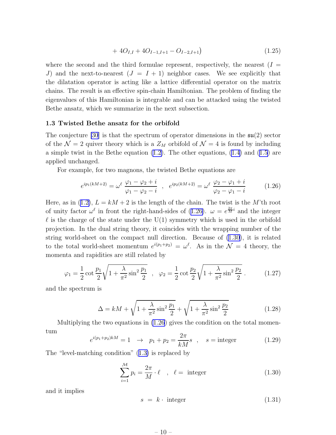$$
+ 4O_{I,I} + 4O_{I-1,I+1} - O_{I-2,I+1}
$$
\n
$$
(1.25)
$$

<span id="page-11-0"></span>where the second and the third formulae represent, respectively, the nearest  $(I =$ J) and the next-to-nearest  $(J = I + 1)$  neighbor cases. We see explicitly that the dilatation operator is acting like a lattice differential operator on the matrix chains. The result is an effective spin-chain Hamiltonian. The problem of finding the eigenvalues of this Hamiltonian is integrable and can be attacked using the twisted Bethe ansatz, which we summarize in the next subsection.

#### 1.3 Twisted Bethe ansatz for the orbifold

The conjecture [\[30](#page-27-0)] is that the spectrum of operator dimensions in the  $\mathfrak{su}(2)$  sector of the  $\mathcal{N} = 2$  quiver theory which is a  $Z_M$  orbifold of  $\mathcal{N} = 4$  is found by including a simple twist in the Bethe equation([1.2\)](#page-5-0). The other equations, [\(1.4](#page-5-0)) and([1.5\)](#page-5-0) are applied unchanged.

For example, for two magnons, the twisted Bethe equations are

$$
e^{ip_1(kM+2)} = \omega^{\ell} \frac{\varphi_1 - \varphi_2 + i}{\varphi_1 - \varphi_2 - i} , \quad e^{ip_2(kM+2)} = \omega^{\ell} \frac{\varphi_2 - \varphi_1 + i}{\varphi_2 - \varphi_1 - i} \tag{1.26}
$$

Here,as in ([1.2\)](#page-5-0),  $L = kM + 2$  is the length of the chain. The twist is the M'th root of unity factor  $\omega^{\ell}$  in front the right-hand-sides of (1.26).  $\omega = e^{\frac{2\pi}{M}i}$  and the integer  $\ell$  is the charge of the state under the U(1) symmetry which is used in the orbifold projection. In the dual string theory, it coincides with the wrapping number of the string world-sheet on the compact null direction. Because of (1.30), it is related to the total world-sheet momentum  $e^{i(p_1+p_2)} = \omega^{\ell}$ . As in the  $\mathcal{N} = 4$  theory, the momenta and rapidities are still related by

$$
\varphi_1 = \frac{1}{2} \cot \frac{p_1}{2} \sqrt{1 + \frac{\lambda}{\pi^2} \sin^2 \frac{p_1}{2}} \quad , \quad \varphi_2 = \frac{1}{2} \cot \frac{p_2}{2} \sqrt{1 + \frac{\lambda}{\pi^2} \sin^2 \frac{p_2}{2}} \quad . \tag{1.27}
$$

and the spectrum is

$$
\Delta = kM + \sqrt{1 + \frac{\lambda}{\pi^2} \sin^2 \frac{p_1}{2}} + \sqrt{1 + \frac{\lambda}{\pi^2} \sin^2 \frac{p_2}{2}}
$$
(1.28)

Multiplying the two equations in (1.26) gives the condition on the total momentum

$$
e^{i(p_1+p_2)kM} = 1 \rightarrow p_1 + p_2 = \frac{2\pi}{kM}s
$$
,  $s = \text{integer}$  (1.29)

The "level-matching condition"([1.3\)](#page-5-0) is replaced by

$$
\sum_{i=1}^{M} p_i = \frac{2\pi}{M} \cdot \ell \quad , \quad \ell = \text{ integer}
$$
 (1.30)

and it implies

$$
s = k \cdot \text{ integer} \tag{1.31}
$$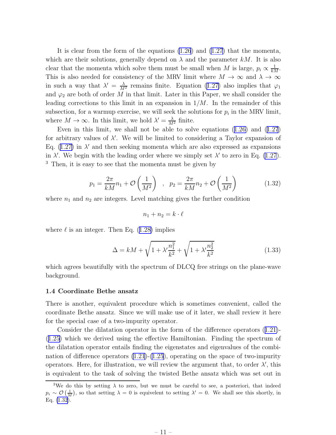<span id="page-12-0"></span>It is clear from the form of the equations [\(1.26](#page-11-0)) and [\(1.27](#page-11-0)) that the momenta, which are their solutions, generally depend on  $\lambda$  and the parameter kM. It is also clear that the momenta which solve them must be small when M is large,  $p_i \propto \frac{1}{kM}$ . This is also needed for consistency of the MRV limit where  $M \to \infty$  and  $\lambda \to \infty$ in such a way that  $\lambda' = \frac{\lambda}{M^2}$  remains finite. Equation [\(1.27\)](#page-11-0) also implies that  $\varphi_1$ and  $\varphi_2$  are both of order M in that limit. Later in this Paper, we shall consider the leading corrections to this limit in an expansion in  $1/M$ . In the remainder of this subsection, for a warmup exercise, we will seek the solutions for  $p_i$  in the MRV limit, where  $M \to \infty$ . In this limit, we hold  $\lambda' = \frac{\lambda}{M^2}$  finite.

Even in this limit, we shall not be able to solve equations([1.26\)](#page-11-0) and([1.27](#page-11-0)) for arbitrary values of  $\lambda'$ . We will be limited to considering a Taylor expansion of Eq. $(1.27)$  $(1.27)$  in  $\lambda'$  and then seeking momenta which are also expressed as expansions in  $\lambda'$ . We begin with the leading order where we simply set  $\lambda'$  to zero in Eq. [\(1.27](#page-11-0)). <sup>3</sup> Then, it is easy to see that the momenta must be given by

$$
p_1 = \frac{2\pi}{kM}n_1 + \mathcal{O}\left(\frac{1}{M^2}\right) , \quad p_2 = \frac{2\pi}{kM}n_2 + \mathcal{O}\left(\frac{1}{M^2}\right) \tag{1.32}
$$

where  $n_1$  and  $n_2$  are integers. Level matching gives the further condition

$$
n_1 + n_2 = k \cdot \ell
$$

where $\ell$  is an integer. Then Eq. ([1.28\)](#page-11-0) implies

$$
\Delta = kM + \sqrt{1 + \lambda' \frac{n_1^2}{k^2}} + \sqrt{1 + \lambda' \frac{n_2^2}{k^2}}
$$
(1.33)

which agrees beautifully with the spectrum of DLCQ free strings on the plane-wave background.

#### 1.4 Coordinate Bethe ansatz

There is another, equivalent procedure which is sometimes convenient, called the coordinate Bethe ansatz. Since we will make use of it later, we shall review it here for the special case of a two-impurity operator.

Consider the dilatation operator in the form of the difference operators([1.21\)](#page-10-0)- ([1.25\)](#page-10-0) which we derived using the effective Hamiltonian. Finding the spectrum of the dilatation operator entails finding the eigenstates and eigenvalues of the combination of difference operators [\(1.21](#page-10-0))-[\(1.25](#page-10-0)), operating on the space of two-impurity operators. Here, for illustration, we will review the argument that, to order  $\lambda'$ , this is equivalent to the task of solving the twisted Bethe ansatz which was set out in

<sup>&</sup>lt;sup>3</sup>We do this by setting  $\lambda$  to zero, but we must be careful to see, a posteriori, that indeed  $p_i \sim \mathcal{O}\left(\frac{1}{M}\right)$ , so that setting  $\lambda = 0$  is equivelent to setting  $\lambda' = 0$ . We shall see this shortly, in Eq. (1.32).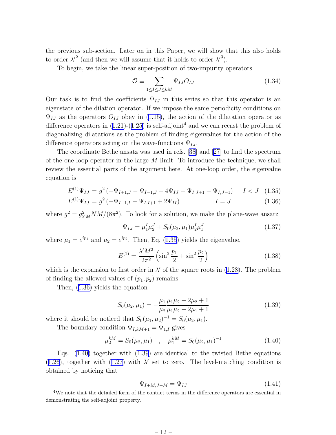<span id="page-13-0"></span>the previous sub-section. Later on in this Paper, we will show that this also holds to order  $\lambda'^2$  (and then we will assume that it holds to order  $\lambda'^3$ ).

To begin, we take the linear super-position of two-impurity operators

$$
\mathcal{O} \equiv \sum_{1 \leq I \leq J \leq kM} \Psi_{IJ} O_{IJ} \tag{1.34}
$$

Our task is to find the coefficients  $\Psi_{IJ}$  in this series so that this operator is an eigenstate of the dilation operator. If we impose the same periodicity conditions on  $\Psi_{IJ}$ as the operators  $O_{IJ}$  obey in ([1.15\)](#page-8-0), the action of the dilatation operator as differenceoperators in  $(1.21)-(1.25)$  $(1.21)-(1.25)$  $(1.21)-(1.25)$  $(1.21)-(1.25)$  is self-adjoint<sup>4</sup> and we can recast the problem of diagonalizing dilatations as the problem of finding eigenvalues for the action of the difference operators acting on the wave-functions  $\Psi_{IJ}$ .

The coordinate Bethe ansatz was used in refs.[[38\]](#page-27-0) and [\[27\]](#page-27-0) to find the spectrum of the one-loop operator in the large  $M$  limit. To introduce the technique, we shall review the essential parts of the argument here. At one-loop order, the eigenvalue equation is

$$
E^{(1)}\Psi_{IJ} = g^2\left(-\Psi_{I+1,J} - \Psi_{I-1,J} + 4\Psi_{IJ} - \Psi_{I,J+1} - \Psi_{I,J-1}\right) \quad I < J \quad (1.35)
$$

$$
E^{(1)}\Psi_{IJ} = g^2 \left(-\Psi_{I-1,I} - \Psi_{I,I+1} + 2\Psi_{II}\right) \qquad I = J \qquad (1.36)
$$

where  $g^2 = g_{YM}^2 N M/(8\pi^2)$ . To look for a solution, we make the plane-wave ansatz

$$
\Psi_{IJ} = \mu_1^I \mu_2^J + S_0(\mu_2, \mu_1) \mu_2^I \mu_1^J \tag{1.37}
$$

where  $\mu_1 = e^{ip_1}$  and  $\mu_2 = e^{ip_2}$ . Then, Eq. (1.35) yields the eigenvalue,

$$
E^{(1)} = \frac{\lambda' M^2}{2\pi^2} \left( \sin^2 \frac{p_1}{2} + \sin^2 \frac{p_2}{2} \right)
$$
 (1.38)

whichis the expansion to first order in  $\lambda'$  of the square roots in ([1.28\)](#page-11-0). The problem of finding the allowed values of  $(p_1, p_2)$  remains.

Then, (1.36) yields the equation

$$
S_0(\mu_2, \mu_1) = -\frac{\mu_1}{\mu_2} \frac{\mu_1 \mu_2 - 2\mu_2 + 1}{\mu_1 \mu_2 - 2\mu_1 + 1}
$$
(1.39)

where it should be noticed that  $S_0(\mu_1, \mu_2)^{-1} = S_0(\mu_2, \mu_1)$ .

The boundary condition  $\Psi_{I,kM+1} = \Psi_{1,I}$  gives

$$
\mu_2^{kM} = S_0(\mu_2, \mu_1) \quad , \quad \mu_1^{kM} = S_0(\mu_2, \mu_1)^{-1} \tag{1.40}
$$

Eqs.  $(1.40)$  together with  $(1.39)$  are identical to the twisted Bethe equations ([1.26\)](#page-11-0),together with ([1.27\)](#page-11-0) with  $\lambda'$  set to zero. The level-matching condition is obtained by noticing that

$$
\Psi_{I+M,J+M} = \Psi_{IJ} \tag{1.41}
$$

<sup>4</sup>We note that the detailed form of the contact terms in the difference operators are essential in demonstrating the self-adjoint property.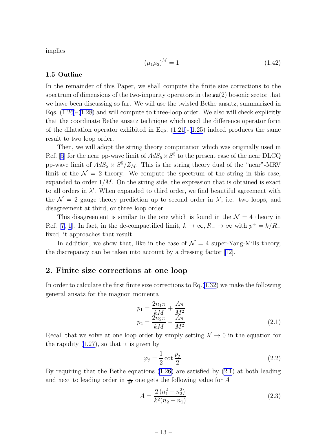<span id="page-14-0"></span>implies

$$
(\mu_1 \mu_2)^M = 1 \tag{1.42}
$$

#### 1.5 Outline

In the remainder of this Paper, we shall compute the finite size corrections to the spectrum of dimensions of the two-impurity operators in the  $\mathfrak{su}(2)$  bosonic sector that we have been discussing so far. We will use the twisted Bethe ansatz, summarized in Eqs.  $(1.26)-(1.28)$  $(1.26)-(1.28)$  $(1.26)-(1.28)$  and will compute to three-loop order. We also will check explicitly that the coordinate Bethe ansatz technique which used the difference operator form of the dilatation operator exhibited in Eqs.  $(1.21)-(1.25)$  $(1.21)-(1.25)$  $(1.21)-(1.25)$  indeed produces the same result to two loop order.

Then, we will adopt the string theory computation which was originally used in Ref. [\[5](#page-25-0)] for the near pp-wave limit of  $AdS_5 \times S^5$  to the present case of the near DLCQ pp-wave limit of  $AdS_5 \times S^5/Z_M$ . This is the string theory dual of the "near"-MRV limit of the  $\mathcal{N} = 2$  theory. We compute the spectrum of the string in this case, expanded to order  $1/M$ . On the string side, the expression that is obtained is exact to all orders in  $\lambda'$ . When expanded to third order, we find beautiful agreement with the  $\mathcal{N}=2$  gauge theory prediction up to second order in  $\lambda'$ , i.e. two loops, and disagreement at third, or three loop order.

This disagreement is similar to the one which is found in the  $\mathcal{N}=4$  theory in Ref. [\[7](#page-25-0), [1](#page-25-0)]. In fact, in the de-compactified limit,  $k \to \infty$ ,  $R_- \to \infty$  with  $p^+ = k/R_$ fixed, it approaches that result.

In addition, we show that, like in the case of  $\mathcal{N}=4$  super-Yang-Mills theory, the discrepancy can be taken into account by a dressing factor [\[12\]](#page-26-0).

#### 2. Finite size corrections at one loop

In order to calculate the first finite size corrections to Eq.[\(1.32](#page-12-0)) we make the following general ansatz for the magnon momenta

$$
p_1 = \frac{2n_1\pi}{kM} + \frac{A\pi}{M^2}
$$
  
\n
$$
p_2 = \frac{2n_2\pi}{kM} - \frac{A\pi}{M^2}
$$
\n(2.1)

Recall that we solve at one loop order by simply setting  $\lambda' \to 0$  in the equation for the rapidity [\(1.27](#page-11-0)), so that it is given by

$$
\varphi_j = \frac{1}{2} \cot \frac{p_j}{2}.
$$
\n(2.2)

By requiring that the Bethe equations [\(1.26](#page-11-0)) are satisfied by (2.1) at both leading and next to leading order in  $\frac{1}{M}$  one gets the following value for A

$$
A = \frac{2\left(n_1^2 + n_2^2\right)}{k^2(n_2 - n_1)}\tag{2.3}
$$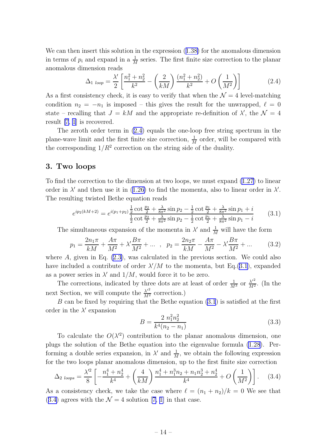<span id="page-15-0"></span>We can then insert this solution in the expression([1.38\)](#page-13-0) for the anomalous dimension in terms of  $p_i$  and expand in a  $\frac{1}{M}$  series. The first finite size correction to the planar anomalous dimension reads

$$
\Delta_{1 \; loop} = \frac{\lambda'}{2} \left[ \frac{n_1^2 + n_2^2}{k^2} - \left( \frac{2}{kM} \right) \frac{(n_1^2 + n_2^2)}{k^2} + O\left( \frac{1}{M^2} \right) \right]
$$
(2.4)

As a first consistency check, it is easy to verify that when the  $\mathcal{N}=4$  level-matching condition  $n_2 = -n_1$  is imposed – this gives the result for the unwrapped,  $\ell = 0$ state – recalling that  $J = kM$  and the appropriate re-definition of  $\lambda'$ , the  $\mathcal{N} = 4$ result [\[7](#page-25-0), [1\]](#page-25-0) is recovered.

The zeroth order term in (2.4) equals the one-loop free string spectrum in the plane-wave limit and the first finite size correction,  $\frac{1}{M}$  order, will be compared with the corresponding  $1/R^2$  correction on the string side of the duality.

### 3. Two loops

To find the correction to the dimension at two loops, we must expand [\(1.27\)](#page-11-0) to linear orderin  $\lambda'$  and then use it in ([1.26\)](#page-11-0) to find the momenta, also to linear order in  $\lambda'$ . The resulting twisted Bethe equation reads

$$
e^{ip_2(kM+2)} = e^{i(p_1+p_2)} \frac{\frac{1}{2}\cot\frac{p_2}{2} + \frac{\lambda}{8\pi^2}\sin p_2 - \frac{1}{2}\cot\frac{p_1}{2} + \frac{\lambda}{8\pi^2}\sin p_1 + i}{\frac{1}{2}\cot\frac{p_2}{2} + \frac{\lambda}{8\pi^2}\sin p_2 - \frac{1}{2}\cot\frac{p_1}{2} + \frac{\lambda}{8\pi^2}\sin p_1 - i}
$$
(3.1)

The simultaneous expansion of the momenta in  $\lambda'$  and  $\frac{1}{M}$  will have the form

$$
p_1 = \frac{2n_1\pi}{kM} + \frac{A\pi}{M^2} + \lambda'\frac{B\pi}{M^2} + \dots \ , \ p_2 = \frac{2n_2\pi}{kM} - \frac{A\pi}{M^2} - \lambda'\frac{B\pi}{M^2} + \dots \qquad (3.2)
$$

where  $A$ , given in Eq.  $(2.3)$ , was calculated in the previous section. We could also have included a contribute of order  $\lambda'/M$  to the momenta, but Eq.(3.1), expanded as a power series in  $\lambda'$  and  $1/M$ , would force it to be zero.

The corrections, indicated by three dots are at least of order  $\frac{1}{M^3}$  or  $\frac{\lambda'^2}{M^2}$  $\frac{\lambda^2}{M^2}$ . (In the next Section, we will compute the  $\frac{\lambda'^2}{M^2}$  correction.)

B can be fixed by requiring that the Bethe equation  $(3.1)$  is satisfied at the first order in the  $\lambda'$  expansion

$$
B = \frac{2 n_1^2 n_2^2}{k^4 (n_2 - n_1)}
$$
\n(3.3)

To calculate the  $O(\lambda'^2)$  contribution to the planar anomalous dimension, one plugs the solution of the Bethe equation into the eigenvalue formula [\(1.28](#page-11-0)). Performing a double series expansion, in  $\lambda'$  and  $\frac{1}{M}$ , we obtain the following expression for the two loops planar anomalous dimension, up to the first finite size correction

$$
\Delta_{2\ loops} = \frac{\lambda'^2}{8} \left[ -\frac{n_1^4 + n_2^4}{k^4} + \left( \frac{4}{kM} \right) \frac{n_1^4 + n_1^3 n_2 + n_1 n_2^3 + n_2^4}{k^4} + O\left( \frac{1}{M^2} \right) \right].
$$
 (3.4)

As a consistency check, we take the case where  $\ell = (n_1 + n_2)/k = 0$  We see that (3.4)agrees with the  $\mathcal{N} = 4$  solution [[7, 1\]](#page-25-0) in that case.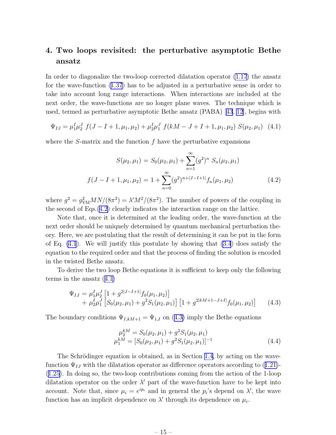## <span id="page-16-0"></span>4. Two loops revisited: the perturbative asymptotic Bethe ansatz

In order to diagonalize the two-loop corrected dilatation operator [\(1.17](#page-8-0)) the ansatz for the wave-function [\(1.37](#page-13-0)) has to be adjusted in a perturbative sense in order to take into account long range interactions. When interactions are included at the next order, the wave-functions are no longer plane waves. The technique which is used, termed as perturbative asymptotic Bethe ansatz (PABA)[[43](#page-28-0), [12\]](#page-26-0), begins with

$$
\Psi_{IJ} = \mu_1^I \mu_2^J \ f(J - I + 1, \mu_1, \mu_2) + \mu_2^I \mu_1^J \ f(kM - J + I + 1, \mu_1, \mu_2) \ S(\mu_2, \mu_1) \tag{4.1}
$$

where the  $S$ -matrix and the function  $f$  have the perturbative expansions

$$
S(\mu_2, \mu_1) = S_0(\mu_2, \mu_1) + \sum_{n=1}^{\infty} (g^2)^n S_n(\mu_2, \mu_1)
$$
  

$$
f(J - I + 1, \mu_1, \mu_2) = 1 + \sum_{n=0}^{\infty} (g^2)^{n + |J - I + 1|} f_n(\mu_1, \mu_2)
$$
(4.2)

where  $g^2 = g_{\text{YM}}^2 MN/(8\pi^2) = \lambda' M^2/(8\pi^2)$ . The number of powers of the coupling in the second of Eqs.(4.2) clearly indicates the interaction range on the lattice.

Note that, once it is determined at the leading order, the wave-function at the next order should be uniquely determined by quantum mechanical perturbation theory. Here, we are postulating that the result of determining it can be put in the form of Eq.  $(4.1)$ . We will justify this postulate by showing that  $(3.4)$  does satisfy the equation to the required order and that the process of finding the solution is encoded in the twisted Bethe ansatz.

To derive the two loop Bethe equations it is sufficient to keep only the following terms in the ansatz (4.1)

$$
\Psi_{IJ} = \mu_1^I \mu_2^J \left[ 1 + g^{2|J - I + 1|} f_0(\mu_1, \mu_2) \right] \n+ \mu_2^I \mu_1^J \left[ S_0(\mu_2, \mu_1) + g^2 S_1(\mu_2, \mu_1) \right] \left[ 1 + g^{2|kM + 1 - J + I|} f_0(\mu_1, \mu_2) \right]
$$
\n(4.3)

The boundary conditions  $\Psi_{I,kM+1} = \Psi_{1,I}$  on (4.3) imply the Bethe equations

$$
\mu_2^{kM} = S_0(\mu_2, \mu_1) + g^2 S_1(\mu_2, \mu_1)
$$
  
\n
$$
\mu_1^{kM} = [S_0(\mu_2, \mu_1) + g^2 S_1(\mu_2, \mu_1)]^{-1}
$$
\n(4.4)

The Schrödinger equation is obtained, as in Section [1.4](#page-12-0), by acting on the wave-function $\Psi_{IJ}$  with the dilatation operator as difference operators according to ([1.21\)](#page-10-0)-([1.25\)](#page-10-0). In doing so, the two-loop contributions coming from the action of the 1-loop dilatation operator on the order  $\lambda'$  part of the wave-function have to be kept into account. Note that, since  $\mu_i = e^{ip_i}$  and in general the  $p_i$ 's depend on  $\lambda'$ , the wave function has an implicit dependence on  $\lambda'$  through its dependence on  $\mu_i$ .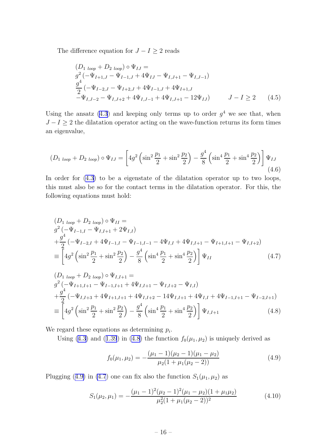<span id="page-17-0"></span>The difference equation for  $J - I \geq 2$  reads

$$
(D_{1\ loop} + D_{2\ loop}) \circ \Psi_{IJ} =
$$
  
\n
$$
g^{2}(-\Psi_{I+1,J} - \Psi_{I-1,J} + 4\Psi_{IJ} - \Psi_{I,J+1} - \Psi_{I,J-1})
$$
  
\n
$$
\frac{g^{4}}{2}(-\Psi_{I-2,J} - \Psi_{I+2,J} + 4\Psi_{I-1,J} + 4\Psi_{I+1,J}
$$
  
\n
$$
-\Psi_{I,J-2} - \Psi_{I,J+2} + 4\Psi_{I,J-1} + 4\Psi_{I,J+1} - 12\Psi_{IJ})
$$
  $J - I \ge 2$  (4.5)

Using the ansatz [\(4.3](#page-16-0)) and keeping only terms up to order  $g<sup>4</sup>$  we see that, when  $J-I \geq 2$  the dilatation operator acting on the wave-function returns its form times an eigenvalue,

$$
(D_{1\ loop} + D_{2\ loop}) \circ \Psi_{IJ} = \left[ 4g^2 \left( \sin^2 \frac{p_1}{2} + \sin^2 \frac{p_2}{2} \right) - \frac{g^4}{8} \left( \sin^4 \frac{p_1}{2} + \sin^4 \frac{p_2}{2} \right) \right] \Psi_{IJ}
$$
\n(4.6)

In order for [\(4.3](#page-16-0)) to be a eigenstate of the dilatation operator up to two loops, this must also be so for the contact terms in the dilatation operator. For this, the following equations must hold:

$$
(D_{1\;loop} + D_{2\;loop}) \circ \Psi_{II} =
$$
  
\n
$$
g^{2}(-\Psi_{I-1,I} - \Psi_{I,I+1} + 2\Psi_{I,I})
$$
  
\n
$$
+ \frac{g^{4}}{2}(-\Psi_{I-2,I} + 4\Psi_{I-1,I} - \Psi_{I-1,I-1} - 4\Psi_{I,I} + 4\Psi_{I,I+1} - \Psi_{I+1,I+1} - \Psi_{I,I+2})
$$
  
\n
$$
\equiv \left[4g^{2}\left(\sin^{2}\frac{p_{1}}{2} + \sin^{2}\frac{p_{2}}{2}\right) - \frac{g^{4}}{8}\left(\sin^{4}\frac{p_{1}}{2} + \sin^{4}\frac{p_{2}}{2}\right)\right]\Psi_{II}
$$
\n(4.7)

$$
(D_{1\;loop} + D_{2\;loop}) \circ \Psi_{I,I+1} =
$$
  
\n
$$
g^{2}(-\Psi_{I+1,I+1} - \Psi_{I-1,I+1} + 4\Psi_{I,I+1} - \Psi_{I,I+2} - \Psi_{I,I})
$$
  
\n
$$
+ \frac{g^{4}}{2}(-\Psi_{I,I+3} + 4\Psi_{I+1,I+1} + 4\Psi_{I,I+2} - 14\Psi_{I,I+1} + 4\Psi_{I,I} + 4\Psi_{I-1,I+1} - \Psi_{I-2,I+1})
$$
  
\n
$$
\equiv \left[4g^{2}\left(\sin^{2}\frac{p_{1}}{2} + \sin^{2}\frac{p_{2}}{2}\right) - \frac{g^{4}}{8}\left(\sin^{4}\frac{p_{1}}{2} + \sin^{4}\frac{p_{2}}{2}\right)\right]\Psi_{I,I+1}
$$
(4.8)

We regard these equations as determining  $p_i$ .

Using([4.3\)](#page-16-0) and ([1.39](#page-13-0)) in (4.8) the function  $f_0(\mu_1, \mu_2)$  is uniquely derived as

$$
f_0(\mu_1, \mu_2) = -\frac{(\mu_1 - 1)(\mu_2 - 1)(\mu_1 - \mu_2)}{\mu_2(1 + \mu_1(\mu_2 - 2))}
$$
(4.9)

Plugging (4.9) in (4.7) one can fix also the function  $S_1(\mu_1, \mu_2)$  as

$$
S_1(\mu_2, \mu_1) = -\frac{(\mu_1 - 1)^2 (\mu_2 - 1)^2 (\mu_1 - \mu_2)(1 + \mu_1 \mu_2)}{\mu_2^2 (1 + \mu_1 (\mu_2 - 2))^2}
$$
(4.10)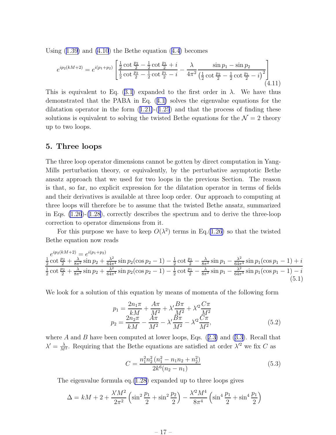<span id="page-18-0"></span>Using $(1.39)$  $(1.39)$  and  $(4.10)$  the Bethe equation  $(4.4)$  $(4.4)$  becomes

$$
e^{ip_2(kM+2)} = e^{i(p_1+p_2)} \left[ \frac{\frac{1}{2} \cot \frac{p_2}{2} - \frac{1}{2} \cot \frac{p_1}{2} + i}{\frac{1}{2} \cot \frac{p_2}{2} - \frac{1}{2} \cot \frac{p_1}{2} - i} - \frac{\lambda}{4\pi^2} \frac{\sin p_1 - \sin p_2}{\left(\frac{1}{2} \cot \frac{p_2}{2} - \frac{1}{2} \cot \frac{p_1}{2} - i\right)^2} \right]
$$
(4.11)

Thisis equivalent to Eq. ([3.1\)](#page-15-0) expanded to the first order in  $\lambda$ . We have thus demonstrated that the PABA in Eq.([4.1\)](#page-16-0) solves the eigenvalue equations for the dilatationoperator in the form  $(1.21)-(1.25)$  $(1.21)-(1.25)$  $(1.21)-(1.25)$  $(1.21)-(1.25)$  $(1.21)-(1.25)$  and that the process of finding these solutions is equivalent to solving the twisted Bethe equations for the  $\mathcal{N} = 2$  theory up to two loops.

#### 5. Three loops

The three loop operator dimensions cannot be gotten by direct computation in Yang-Mills perturbation theory, or equivalently, by the perturbative asymptotic Bethe ansatz approach that we used for two loops in the previous Section. The reason is that, so far, no explicit expression for the dilatation operator in terms of fields and their derivatives is available at three loop order. Our approach to computing at three loops will therefore be to assume that the twisted Bethe ansatz, summarized in Eqs. [\(1.26](#page-11-0))-[\(1.28](#page-11-0)), correctly describes the spectrum and to derive the three-loop correction to operator dimensions from it.

For this purpose we have to keep  $O(\lambda^2)$  terms in Eq.([1.26\)](#page-11-0) so that the twisted Bethe equation now reads

$$
\frac{e^{ip_2(kM+2)} = e^{i(p_1+p_2)}}{\frac{1}{2}\cot\frac{p_2}{2} + \frac{\lambda}{8\pi^2}\sin p_2 + \frac{\lambda^2}{64\pi^4}\sin p_2(\cos p_2 - 1) - \frac{1}{2}\cot\frac{p_1}{2} - \frac{\lambda}{8\pi^2}\sin p_1 - \frac{\lambda^2}{64\pi^4}\sin p_1(\cos p_1 - 1) + i}{\frac{1}{2}\cot\frac{p_2}{2} + \frac{\lambda}{8\pi^2}\sin p_2 + \frac{\lambda^2}{64\pi^4}\sin p_2(\cos p_2 - 1) - \frac{1}{2}\cot\frac{p_1}{2} - \frac{\lambda}{8\pi^2}\sin p_1 - \frac{\lambda^2}{64\pi^4}\sin p_1(\cos p_1 - 1) - i}
$$
\n(5.1)

We look for a solution of this equation by means of momenta of the following form

$$
p_1 = \frac{2n_1\pi}{kM} + \frac{A\pi}{M^2} + \lambda'\frac{B\pi}{M^2} + \lambda'^2 \frac{C\pi}{M^2}
$$
  
\n
$$
p_2 = \frac{2n_2\pi}{kM} - \frac{A\pi}{M^2} - \lambda'\frac{B\pi}{M^2} - \lambda'^2 \frac{C\pi}{M^2},
$$
\n(5.2)

where $A$  and  $B$  have been computed at lower loops, Eqs.  $(2.3)$  $(2.3)$  and  $(3.3)$ . Recall that  $\lambda' = \frac{\lambda}{M^2}$ . Requiring that the Bethe equations are satisfied at order  $\lambda'^2$  we fix C as

$$
C = \frac{n_1^2 n_2^2 (n_1^2 - n_1 n_2 + n_2^2)}{2k^6 (n_2 - n_1)}
$$
(5.3)

The eigenvalue formula eq.[\(1.28](#page-11-0)) expanded up to three loops gives

$$
\Delta = kM + 2 + \frac{\lambda'M^2}{2\pi^2} \left( \sin^2 \frac{p_1}{2} + \sin^2 \frac{p_2}{2} \right) - \frac{\lambda'^2 M^4}{8\pi^4} \left( \sin^4 \frac{p_1}{2} + \sin^4 \frac{p_1}{2} \right)
$$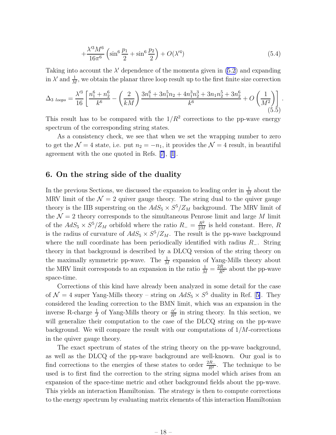$$
+\frac{\lambda'^3 M^6}{16\pi^6} \left(\sin^6 \frac{p_1}{2} + \sin^6 \frac{p_2}{2}\right) + O(\lambda'^4)
$$
\n(5.4)

<span id="page-19-0"></span>Taking into account the  $\lambda'$  dependence of the momenta given in  $(5.2)$  and expanding in  $\lambda'$  and  $\frac{1}{M}$ , we obtain the planar three loop result up to the first finite size correction

$$
\Delta_{3\ loops} = \frac{\lambda'^3}{16} \left[ \frac{n_1^6 + n_2^6}{k^6} - \left( \frac{2}{kM} \right) \frac{3n_1^6 + 3n_1^5n_2 + 4n_1^3n_2^3 + 3n_1n_2^5 + 3n_2^6}{k^6} + O\left(\frac{1}{M^2}\right) \right].
$$
\n(5.5)

This result has to be compared with the  $1/R^2$  corrections to the pp-wave energy spectrum of the corresponding string states.

As a consistency check, we see that when we set the wrapping number to zero to get the  $\mathcal{N} = 4$  state, i.e. put  $n_2 = -n_1$ , it provides the  $\mathcal{N} = 4$  result, in beautiful agreement with the one quoted in Refs.[[7\]](#page-25-0), [\[1\]](#page-25-0).

## 6. On the string side of the duality

In the previous Sections, we discussed the expansion to leading order in  $\frac{1}{M}$  about the MRV limit of the  $\mathcal{N} = 2$  quiver gauge theory. The string dual to the quiver gauge theory is the IIB superstring on the  $AdS_5 \times S^5/Z_M$  background. The MRV limit of the  $\mathcal{N}=2$  theory corresponds to the simultaneous Penrose limit and large M limit of the  $AdS_5 \times S^5/Z_M$  orbifold where the ratio  $R_- = \frac{R^2}{2M}$  $\frac{R^2}{2M}$  is held constant. Here, R is the radius of curvature of  $AdS_5 \times S^5/Z_M$ . The result is the pp-wave background where the null coordinate has been periodically identified with radius  $R_-\$ . String theory in that background is described by a DLCQ version of the string theory on the maximally symmetric pp-wave. The  $\frac{1}{M}$  expansion of Yang-Mills theory about the MRV limit corresponds to an expansion in the ratio  $\frac{1}{M} = \frac{2R_{-}}{R^{2}}$  about the pp-wave space-time.

Corrections of this kind have already been analyzed in some detail for the case of $\mathcal{N} = 4$  super Yang-Mills theory – string on  $AdS_5 \times S^5$  duality in Ref. [[5\]](#page-25-0). They considered the leading correction to the BMN limit, which was an expansion in the inverse R-charge  $\frac{1}{J}$  of Yang-Mills theory or  $\frac{\alpha'}{R^2}$  $\frac{\alpha'}{R^2}$  in string theory. In this section, we will generalize their computation to the case of the DLCQ string on the pp-wave background. We will compare the result with our computations of  $1/M$ -corrections in the quiver gauge theory.

The exact spectrum of states of the string theory on the pp-wave background, as well as the DLCQ of the pp-wave background are well-known. Our goal is to find corrections to the energies of these states to order  $\frac{2R_}{R^2}$ . The technique to be used is to first find the correction to the string sigma model which arises from an expansion of the space-time metric and other background fields about the pp-wave. This yields an interaction Hamiltonian. The strategy is then to compute corrections to the energy spectrum by evaluating matrix elements of this interaction Hamiltonian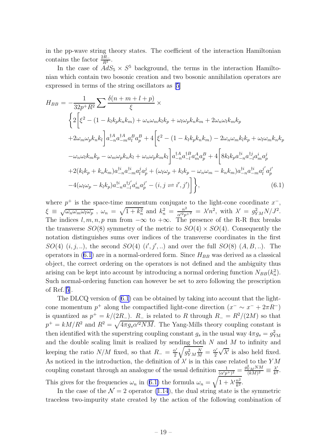<span id="page-20-0"></span>in the pp-wave string theory states. The coefficient of the interaction Hamiltonian contains the factor  $\frac{2R_}{R^2}$ .

In the case of  $AdS_5 \times S^5$  background, the terms in the interaction Hamiltonian which contain two bosonic creation and two bosonic annihilation operators are expressed in terms of the string oscillators as [\[5\]](#page-25-0)

$$
H_{BB} = -\frac{1}{32p^+R^2} \sum \frac{\delta(n+m+l+p)}{\xi} \times
$$
  
\n
$$
\left\{ 2 \left[ \xi^2 - (1 - k_l k_p k_n k_m) + \omega_n \omega_m k_l k_p + \omega_l \omega_p k_n k_m + 2 \omega_n \omega_l k_m k_p + 2 \omega_m \omega_l k_m k_p + 2 \omega_m \omega_p k_n k_l \right] a_{-n}^{1A} a_{-m}^{1A} a_p^{1A} a_p^{1A} + 4 \left[ \xi^2 - (1 - k_l k_p k_n k_m) - 2 \omega_n \omega_m k_l k_p + \omega_l \omega_m k_n k_p - \omega_n \omega_l k_m k_p - \omega_m \omega_p k_n k_l + \omega_n \omega_p k_m k_l \right] a_{-n}^{1A} a_{-l}^{1B} a_m^{1A} a_p^{1B} + 4 \left[ 8 k_l k_p a_{-n}^{1i} a_{-l}^{1i} a_m^{1i} a_p^{i} + 2 (k_l k_p + k_n k_m) a_{-n}^{1i} a_{-m}^{1i} a_l^{i} a_p^{i} + (\omega_l \omega_p + k_l k_p - \omega_n \omega_m - k_n k_m) a_{-n}^{1i} a_l^{i} a_p^{i} - 4 (\omega_l \omega_p - k_l k_p) a_{-n}^{1i} a_{-l}^{1i} a_m^{i} a_p^{i'} - (i, j \neq i', j') \right] \right\}, \tag{6.1}
$$

where  $p^+$  is the space-time momentum conjugate to the light-cone coordinate  $x^-$ ,  $\xi \equiv \sqrt{\omega_n \omega_m \omega_l \omega_p}$ ,  $\omega_n = \sqrt{1 + k_n^2}$  and  $k_n^2 = \frac{n^2}{\alpha'^2 p^{+2}} = \lambda' n^2$ , with  $\lambda' = g_{YM}^2 N / J^2$ . The indices  $l, m, n, p$  run from  $-\infty$  to  $+\infty$ . The presence of the R-R flux breaks the transverse  $SO(8)$  symmetry of the metric to  $SO(4) \times SO(4)$ . Consequently the notation distinguishes sums over indices of the transverse coordinates in the first  $SO(4)$   $(i, j, ...)$ , the second  $SO(4)$   $(i', j', ...)$  and over the full  $SO(8)$   $(A, B, ...)$ . The operators in  $(6.1)$  are in a normal-ordered form. Since  $H_{BB}$  was derived as a classical object, the correct ordering on the operators is not defined and the ambiguity thus arising can be kept into account by introducing a normal ordering function  $N_{BB}(k_n^2)$ . Such normal-ordering function can however be set to zero following the prescription of Ref.[[5](#page-25-0)].

The DLCQ version of (6.1) can be obtained by taking into account that the lightcone momentum  $p^+$  along the compactified light-cone direction  $(x^- \sim x^- + 2\pi R^-)$ is quantized as  $p^+ = k/(2R_-)$ .  $R_-$  is related to R through  $R_- = R^2/(2M)$  so that  $p^+ = kM/R^2$  and  $R^2 = \sqrt{4\pi g_s \alpha'^2 NM}$ . The Yang-Mills theory coupling constant is then identified with the superstring coupling constant  $g_s$  in the usual way  $4\pi g_s = g_{\text{YM}}^2$ and the double scaling limit is realized by sending both  $N$  and  $M$  to infinity and keeping the ratio  $N/M$  fixed, so that  $R_-\equiv \frac{\alpha'}{2}$ 2  $\sqrt{g_{YM}^2\frac{N}{M}}=\frac{\alpha'}{2}$ 2  $\sqrt{\lambda'}$  is also held fixed. As noticed in the introduction, the definition of  $\lambda'$  is in this case related to the YM coupling constant through an analogue of the usual definition  $\frac{1}{(\alpha'p^+)^2} = \frac{g_{YM}^2NM}{(kM)^2}$  $\frac{N_{YM}NM}{(kM)^2}\equiv\frac{\lambda'}{k^2}$  $\frac{\lambda'}{k^2}$ . This gives for the frequencies  $\omega_n$  in (6.1) the formula  $\omega_n = \sqrt{1 + \lambda' \frac{n^2}{k^2}}$ .

In the case of the  $\mathcal{N} = 2$  operator [\(1.14](#page-8-0)), the dual string state is the symmetric traceless two-impurity state created by the action of the following combination of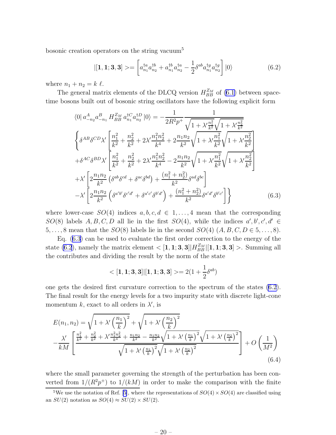<span id="page-21-0"></span>bosonic creation operators on the string vacuum<sup>5</sup>

$$
|[\mathbf{1}, \mathbf{1}; \mathbf{3}, \mathbf{3}] \rangle = \left[ a_{n_1}^{\dagger a} a_{n_2}^{\dagger b} + a_{n_1}^{\dagger b} a_{n_2}^{\dagger a} - \frac{1}{2} \delta^{ab} a_{n_1}^{\dagger g} a_{n_2}^{\dagger g} \right] |0\rangle \tag{6.2}
$$

where  $n_1 + n_2 = k \ell$ .

The general matrix elements of the DLCQ version  $H_{BB}^{Z_M}$  of [\(6.1](#page-20-0)) between spacetime bosons built out of bosonic string oscillators have the following explicit form

$$
\langle 0 | a_{-n_2}^A a_{-n_1}^B H_{BB}^{Z_M} a_{n_1}^{\dagger C} a_{n_2}^{\dagger D} | 0 \rangle = -\frac{1}{2R^2 p^+} \frac{1}{\sqrt{1 + \lambda' \frac{n_1^2}{k^2}} \sqrt{1 + \lambda' \frac{n_2^2}{k^2}}}
$$

$$
\begin{aligned}\n\left\{ \delta^{AB} \delta^{CD} \lambda' \left[ \frac{n_1^2}{k^2} + \frac{n_2^2}{k^2} + 2\lambda' \frac{n_1^2 n_2^2}{k^4} + 2 \frac{n_1 n_2}{k^2} \sqrt{1 + \lambda' \frac{n_1^2}{k^2}} \sqrt{1 + \lambda' \frac{n_2^2}{k^2}} \right] \\
+ \delta^{AC} \delta^{BD} \lambda' \left[ \frac{n_1^2}{k^2} + \frac{n_2^2}{k^2} + 2\lambda' \frac{n_1^2 n_2^2}{k^4} - 2 \frac{n_1 n_2}{k^2} \sqrt{1 + \lambda' \frac{n_1^2}{k^2}} \sqrt{1 + \lambda' \frac{n_2^2}{k^2}} \right] \\
+ \lambda' \left[ 2 \frac{n_1 n_2}{k^2} \left( \delta^{ab} \delta^{cd} + \delta^{ac} \delta^{bd} \right) + \frac{(n_1^2 + n_2^2)}{k^2} \delta^{ad} \delta^{bc} \right] \\
-\lambda' \left[ 2 \frac{n_1 n_2}{k^2} \left( \delta^{a'b'} \delta^{c'd'} + \delta^{a'c'} \delta^{b'd'} \right) + \frac{(n_1^2 + n_2^2)}{k^2} \delta^{a'd'} \delta^{b'c'} \right] \right\}\n\end{aligned} \tag{6.3}
$$

where lower-case  $SO(4)$  indices  $a, b, c, d \in 1, ..., 4$  mean that the corresponding  $SO(8)$  labels  $A, B, C, D$  all lie in the first  $SO(4)$ , while the indices  $a', b', c', d' \in$ 5, ..., 8 mean that the  $SO(8)$  labels lie in the second  $SO(4)$   $(A, B, C, D \in 5, \ldots, 8)$ .

Eq. (6.3) can be used to evaluate the first order correction to the energy of the state (6.2), namely the matrix element  $\langle [1,1;3,3]|H_{BB}^{Z_M}|[1,1;3,3] \rangle$ . Summing all the contributes and dividing the result by the norm of the state

$$
<[\mathbf{1},\mathbf{1};\mathbf{3},\mathbf{3}] | [\mathbf{1},\mathbf{1};\mathbf{3},\mathbf{3}]> = 2 (1 + \frac{1}{2} \delta^{ab})
$$

one gets the desired first curvature correction to the spectrum of the states (6.2). The final result for the energy levels for a two impurity state with discrete light-cone momentum k, exact to all orders in  $\lambda'$ , is

$$
E(n_1, n_2) = \sqrt{1 + \lambda' \left(\frac{n_1}{k}\right)^2} + \sqrt{1 + \lambda' \left(\frac{n_2}{k}\right)^2}
$$
  

$$
-\frac{\lambda'}{kM} \left[ \frac{\frac{n_1^2}{k^2} + \frac{n_2^2}{k^2} + \lambda' \frac{n_1^2 n_2^2}{k^4} + \frac{n_1 n_2}{k^2} - \frac{n_1 n_2}{k^2} \sqrt{1 + \lambda' \left(\frac{n_1}{k}\right)^2} \sqrt{1 + \lambda' \left(\frac{n_2}{k}\right)^2}}{\sqrt{1 + \lambda' \left(\frac{n_1}{k}\right)^2} \sqrt{1 + \lambda' \left(\frac{n_2}{k}\right)^2}} \right] + O\left(\frac{1}{M^2}\right)
$$
(6.4)

where the small parameter governing the strength of the perturbation has been converted from  $1/(R^2p^+)$  to  $1/(kM)$  in order to make the comparison with the finite

<sup>&</sup>lt;sup>5</sup>We use the notation of Ref. [\[5](#page-25-0)], where the representations of  $SO(4) \times SO(4)$  are classified using an  $SU(2)$  notation as  $SO(4) \approx SU(2) \times SU(2)$ .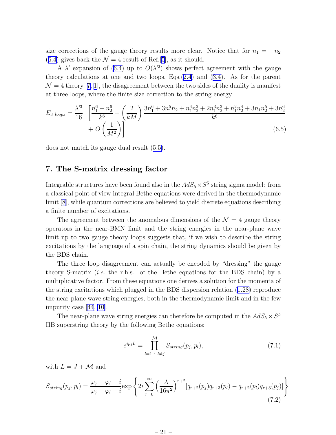<span id="page-22-0"></span>size corrections of the gauge theory results more clear. Notice that for  $n_1 = -n_2$ ([6.4\)](#page-21-0) gives back the  $\mathcal{N} = 4$  result of Ref.[\[5](#page-25-0)], as it should.

A $\lambda'$  expansion of ([6.4](#page-21-0)) up to  $O(\lambda'^2)$  shows perfect agreement with the gauge theory calculations at one and two loops, Eqs.[\(2.4](#page-15-0)) and([3.4\)](#page-15-0). As for the parent  $\mathcal{N} = 4$  $\mathcal{N} = 4$  $\mathcal{N} = 4$  theory [[7, 1\]](#page-25-0), the disagreement between the two sides of the duality is manifest at three loops, where the finite size correction to the string energy

$$
E_{3\ loops} = \frac{\lambda'^3}{16} \left[ \frac{n_1^6 + n_2^6}{k^6} - \left( \frac{2}{kM} \right) \frac{3n_1^6 + 3n_1^5 n_2 + n_1^4 n_2^2 + 2n_1^3 n_2^3 + n_1^2 n_2^4 + 3n_1 n_2^5 + 3n_2^6}{k^6} + O\left(\frac{1}{M^2}\right) \right]
$$
(6.5)

does not match its gauge dual result([5.5\)](#page-19-0).

## 7. The S-matrix dressing factor

Integrable structures have been found also in the  $AdS_5 \times S^5$  string sigma model: from a classical point of view integral Bethe equations were derived in the thermodynamic limit [\[8](#page-25-0)], while quantum corrections are believed to yield discrete equations describing a finite number of excitations.

The agreement between the anomalous dimensions of the  $\mathcal{N}=4$  gauge theory operators in the near-BMN limit and the string energies in the near-plane wave limit up to two gauge theory loops suggests that, if we wish to describe the string excitations by the language of a spin chain, the string dynamics should be given by the BDS chain.

The three loop disagreement can actually be encoded by "dressing" the gauge theory S-matrix *(i.e.* the r.h.s. of the Bethe equations for the BDS chain) by a multiplicative factor. From these equations one derives a solution for the momenta of the string excitations which plugged in the BDS dispersion relation([1.28\)](#page-11-0) reproduce the near-plane wave string energies, both in the thermodynamic limit and in the few impurity case [\[44](#page-28-0), [10](#page-26-0)].

The near-plane wave string energies can therefore be computed in the  $AdS_5 \times S^5$ IIB superstring theory by the following Bethe equations:

$$
e^{ip_j L} = \prod_{l=1 \; ; \; l \neq j}^{M} S_{string}(p_j, p_l), \tag{7.1}
$$

with  $L = J + \mathcal{M}$  and

$$
S_{string}(p_j, p_l) = \frac{\varphi_j - \varphi_l + i}{\varphi_j - \varphi_l - i} \exp\left\{2i \sum_{r=0}^{\infty} \left(\frac{\lambda}{16\pi^2}\right)^{r+2} [q_{r+2}(p_j)q_{r+3}(p_l) - q_{r+2}(p_l)q_{r+3}(p_j)]\right\}
$$
(7.2)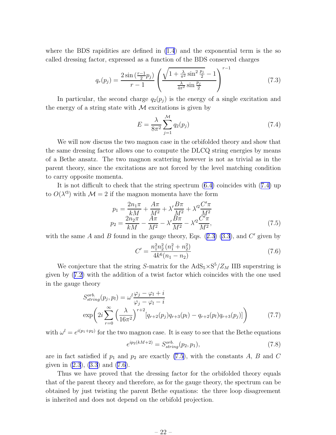where the BDS rapidities are defined in  $(1.4)$  and the exponential term is the so called dressing factor, expressed as a function of the BDS conserved charges

$$
q_r(p_j) = \frac{2\sin\left(\frac{r-1}{2}p_j\right)}{r-1} \left(\frac{\sqrt{1+\frac{\lambda}{\pi^2}\sin^2\frac{p_j}{2}}-1}{\frac{\lambda}{4\pi^2}\sin\frac{p_j}{2}}\right)^{r-1} \tag{7.3}
$$

In particular, the second charge  $q_2(p_j)$  is the energy of a single excitation and the energy of a string state with  $\mathcal M$  excitations is given by

$$
E = \frac{\lambda}{8\pi^2} \sum_{j=1}^{\mathcal{M}} q_2(p_j)
$$
\n(7.4)

We will now discuss the two magnon case in the orbifolded theory and show that the same dressing factor allows one to compute the DLCQ string energies by means of a Bethe ansatz. The two magnon scattering however is not as trivial as in the parent theory, since the excitations are not forced by the level matching condition to carry opposite momenta.

It is not difficult to check that the string spectrum([6.4\)](#page-21-0) coincides with (7.4) up to  $O(\lambda^{3})$  with  $\mathcal{M}=2$  if the magnon momenta have the form

$$
p_1 = \frac{2n_1\pi}{kM} + \frac{A\pi}{M^2} + \lambda'\frac{B\pi}{M^2} + \lambda'^2 \frac{C'\pi}{M^2}
$$
  
\n
$$
p_2 = \frac{2n_2\pi}{kM} - \frac{A\pi}{M^2} - \lambda'\frac{B\pi}{M^2} - \lambda'^2 \frac{C'\pi}{M^2},
$$
\n(7.5)

withthe same A and B found in the gauge theory, Eqs.  $(2.3)$  $(2.3)$   $(3.3)$ , and C' given by

$$
C' = \frac{n_1^2 n_2^2 (n_1^2 + n_2^2)}{4k^6 (n_1 - n_2)}
$$
\n(7.6)

We conjecture that the string S-matrix for the  $AdS_5 \times S^5/Z_M$  IIB superstring is given by([7.2\)](#page-22-0) with the addition of a twist factor which coincides with the one used in the gauge theory

$$
S_{string}^{orb}(p_j, p_l) = \omega^l \frac{\varphi_j - \varphi_l + i}{\varphi_j - \varphi_l - i}
$$
  
\n
$$
\exp\left(2i \sum_{r=0}^{\infty} \left(\frac{\lambda}{16\pi^2}\right)^{r+2} [q_{r+2}(p_j)q_{r+3}(p_l) - q_{r+2}(p_l)q_{r+3}(p_j)]\right)
$$
\n(7.7)

with  $\omega^l = e^{i(p_1+p_2)}$  for the two magnon case. It is easy to see that the Bethe equations

$$
e^{ip_2(kM+2)} = S_{string}^{orb}(p_2, p_1),
$$
\n(7.8)

are in fact satisfied if  $p_1$  and  $p_2$  are exactly (7.5), with the constants A, B and C given in  $(2.3)$ ,  $(3.3)$  and  $(7.6)$ .

Thus we have proved that the dressing factor for the orbifolded theory equals that of the parent theory and therefore, as for the gauge theory, the spectrum can be obtained by just twisting the parent Bethe equations: the three loop disagreement is inherited and does not depend on the orbifold projection.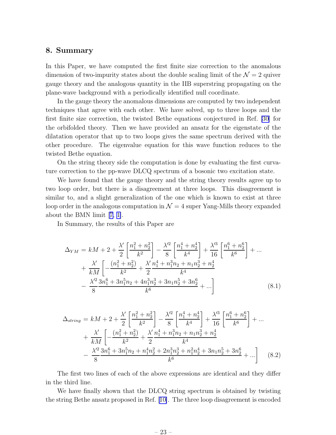#### <span id="page-24-0"></span>8. Summary

In this Paper, we have computed the first finite size correction to the anomalous dimension of two-impurity states about the double scaling limit of the  $\mathcal{N}=2$  quiver gauge theory and the analogous quantity in the IIB superstring propagating on the plane-wave background with a periodically identified null coordinate.

In the gauge theory the anomalous dimensions are computed by two independent techniques that agree with each other. We have solved, up to three loops and the first finite size correction, the twisted Bethe equations conjectured in Ref. [\[30\]](#page-27-0) for the orbifolded theory. Then we have provided an ansatz for the eigenstate of the dilatation operator that up to two loops gives the same spectrum derived with the other procedure. The eigenvalue equation for this wave function reduces to the twisted Bethe equation.

On the string theory side the computation is done by evaluating the first curvature correction to the pp-wave DLCQ spectrum of a bosonic two excitation state.

We have found that the gauge theory and the string theory results agree up to two loop order, but there is a disagreement at three loops. This disagreement is similar to, and a slight generalization of the one which is known to exist at three loop order in the analogous computation in  $\mathcal{N}=4$  super Yang-Mills theory expanded about the BMN limit[[7, 1\]](#page-25-0).

In Summary, the results of this Paper are

$$
\Delta_{YM} = kM + 2 + \frac{\lambda'}{2} \left[ \frac{n_1^2 + n_2^2}{k^2} \right] - \frac{\lambda'^2}{8} \left[ \frac{n_1^4 + n_2^4}{k^4} \right] + \frac{\lambda'^3}{16} \left[ \frac{n_1^6 + n_2^6}{k^6} \right] + \dots + \frac{\lambda'}{kM} \left[ -\frac{(n_1^2 + n_2^2)}{k^2} + \frac{\lambda'}{2} \frac{n_1^4 + n_1^3 n_2 + n_1 n_2^3 + n_2^4}{k^4} \right. - \frac{\lambda'^2}{8} \frac{3n_1^6 + 3n_1^5 n_2 + 4n_1^3 n_2^3 + 3n_1 n_2^5 + 3n_2^6}{k^6} + \dots \right]
$$
(8.1)

$$
\Delta_{string} = kM + 2 + \frac{\lambda'}{2} \left[ \frac{n_1^2 + n_2^2}{k^2} \right] - \frac{\lambda'^2}{8} \left[ \frac{n_1^4 + n_2^4}{k^4} \right] + \frac{\lambda'^3}{16} \left[ \frac{n_1^6 + n_2^6}{k^6} \right] + \dots \n+ \frac{\lambda'}{kM} \left[ -\frac{(n_1^2 + n_2^2)}{k^2} + \frac{\lambda'}{2} \frac{n_1^4 + n_1^3 n_2 + n_1 n_2^3 + n_2^4}{k^4} \right. \n- \frac{\lambda'^2}{8} \frac{3n_1^6 + 3n_1^5 n_2 + n_1^4 n_2^2 + 2n_1^3 n_2^3 + n_1^2 n_2^4 + 3n_1 n_2^5 + 3n_2^6}{k^6} + \dots \right] \quad (8.2)
$$

The first two lines of each of the above expressions are identical and they differ in the third line.

We have finally shown that the DLCQ string spectrum is obtained by twisting the string Bethe ansatz proposed in Ref.[[10\]](#page-26-0). The three loop disagreement is encoded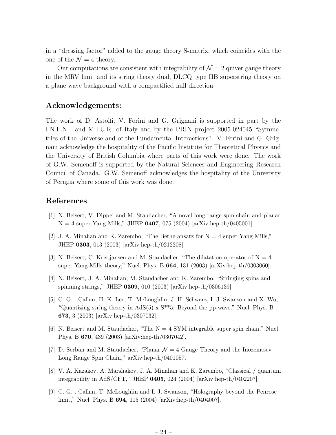<span id="page-25-0"></span>in a "dressing factor" added to the gauge theory S-matrix, which coincides with the one of the  $\mathcal{N}=4$  theory.

Our computations are consistent with integrability of  $\mathcal{N}=2$  quiver gauge theory in the MRV limit and its string theory dual, DLCQ type IIB superstring theory on a plane wave background with a compactified null direction.

## Acknowledgements:

The work of D. Astolfi, V. Forini and G. Grignani is supported in part by the I.N.F.N. and M.I.U.R. of Italy and by the PRIN project 2005-024045 "Symmetries of the Universe and of the Fundamental Interactions". V. Forini and G. Grignani acknowledge the hospitality of the Pacific Institute for Theoretical Physics and the University of British Columbia where parts of this work were done. The work of G.W. Semenoff is supported by the Natural Sciences and Engineering Research Council of Canada. G.W. Semenoff acknowledges the hospitality of the University of Perugia where some of this work was done.

### References

- [1] N. Beisert, V. Dippel and M. Staudacher, "A novel long range spin chain and planar  $N = 4$  super Yang-Mills," JHEP 0407, 075 (2004) [arXiv:hep-th/0405001].
- [2] J. A. Minahan and K. Zarembo, "The Bethe-ansatz for  $N = 4$  super Yang-Mills," JHEP 0303, 013 (2003) [arXiv:hep-th/0212208].
- [3] N. Beisert, C. Kristjansen and M. Staudacher, "The dilatation operator of  $N = 4$ super Yang-Mills theory," Nucl. Phys. B 664, 131 (2003) [arXiv:hep-th/0303060].
- [4] N. Beisert, J. A. Minahan, M. Staudacher and K. Zarembo, "Stringing spins and spinning strings," JHEP 0309, 010 (2003) [arXiv:hep-th/0306139].
- [5] C. G. . Callan, H. K. Lee, T. McLoughlin, J. H. Schwarz, I. J. Swanson and X. Wu, "Quantizing string theory in  $AdS(5) \times S^{**}$ 5: Beyond the pp-wave," Nucl. Phys. B 673, 3 (2003) [arXiv:hep-th/0307032].
- [6] N. Beisert and M. Staudacher, "The  $N = 4$  SYM integrable super spin chain," Nucl. Phys. B 670, 439 (2003) [arXiv:hep-th/0307042].
- [7] D. Serban and M. Staudacher, "Planar  $\mathcal{N}=4$  Gauge Theory and the Inozemtsev Long Range Spin Chain," arXiv:hep-th/0401057.
- [8] V. A. Kazakov, A. Marshakov, J. A. Minahan and K. Zarembo, "Classical / quantum integrability in AdS/CFT," JHEP 0405, 024 (2004) [arXiv:hep-th/0402207].
- [9] C. G. . Callan, T. McLoughlin and I. J. Swanson, "Holography beyond the Penrose limit," Nucl. Phys. B 694, 115 (2004) [arXiv:hep-th/0404007].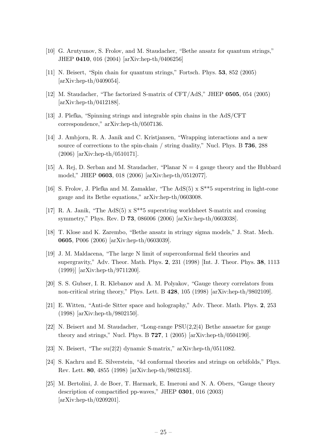- <span id="page-26-0"></span>[10] G. Arutyunov, S. Frolov, and M. Staudacher, "Bethe ansatz for quantum strings," JHEP 0410, 016 (2004) [arXiv:hep-th/0406256]
- [11] N. Beisert, "Spin chain for quantum strings," Fortsch. Phys. 53, 852 (2005) [arXiv:hep-th/0409054].
- [12] M. Staudacher, "The factorized S-matrix of CFT/AdS," JHEP 0505, 054 (2005) [arXiv:hep-th/0412188].
- [13] J. Plefka, "Spinning strings and integrable spin chains in the AdS/CFT correspondence," arXiv:hep-th/0507136.
- [14] J. Ambjorn, R. A. Janik and C. Kristjansen, "Wrapping interactions and a new source of corrections to the spin-chain / string duality," Nucl. Phys. B 736, 288 (2006) [arXiv:hep-th/0510171].
- [15] A. Rej, D. Serban and M. Staudacher, "Planar N = 4 gauge theory and the Hubbard model," JHEP 0603, 018 (2006) [arXiv:hep-th/0512077].
- [16] S. Frolov, J. Plefka and M. Zamaklar, "The AdS(5) x S\*\*5 superstring in light-cone gauge and its Bethe equations," arXiv:hep-th/0603008.
- [17] R. A. Janik, "The AdS(5) x S\*\*5 superstring worldsheet S-matrix and crossing symmetry," Phys. Rev. D 73, 086006 (2006) [arXiv:hep-th/0603038].
- [18] T. Klose and K. Zarembo, "Bethe ansatz in stringy sigma models," J. Stat. Mech. 0605, P006 (2006) [arXiv:hep-th/0603039].
- [19] J. M. Maldacena, "The large N limit of superconformal field theories and supergravity," Adv. Theor. Math. Phys. 2, 231 (1998) [Int. J. Theor. Phys. 38, 1113 (1999)] [arXiv:hep-th/9711200].
- [20] S. S. Gubser, I. R. Klebanov and A. M. Polyakov, "Gauge theory correlators from non-critical string theory," Phys. Lett. B 428, 105 (1998) [arXiv:hep-th/9802109].
- [21] E. Witten, "Anti-de Sitter space and holography," Adv. Theor. Math. Phys. 2, 253 (1998) [arXiv:hep-th/9802150].
- [22] N. Beisert and M. Staudacher, "Long-range PSU(2,2|4) Bethe ansaetze for gauge theory and strings," Nucl. Phys. B  $727$ , 1 (2005) [arXiv:hep-th/0504190].
- [23] N. Beisert, "The su(2|2) dynamic S-matrix," arXiv:hep-th/0511082.
- [24] S. Kachru and E. Silverstein, "4d conformal theories and strings on orbifolds," Phys. Rev. Lett. 80, 4855 (1998) [arXiv:hep-th/9802183].
- [25] M. Bertolini, J. de Boer, T. Harmark, E. Imeroni and N. A. Obers, "Gauge theory description of compactified pp-waves," JHEP 0301, 016 (2003) [arXiv:hep-th/0209201].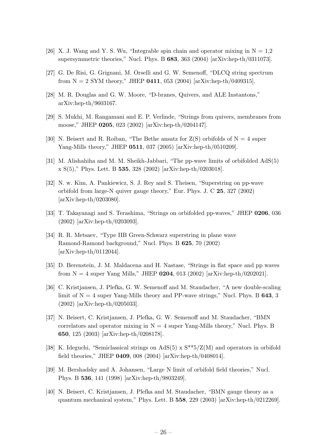- <span id="page-27-0"></span>[26] X. J. Wang and Y. S. Wu, "Integrable spin chain and operator mixing in  $N = 1.2$ supersymmetric theories," Nucl. Phys. B 683, 363 (2004) [arXiv:hep-th/0311073].
- [27] G. De Risi, G. Grignani, M. Orselli and G. W. Semenoff, "DLCQ string spectrum from  $N = 2$  SYM theory," JHEP 0411, 053 (2004) [arXiv:hep-th/0409315].
- [28] M. R. Douglas and G. W. Moore, "D-branes, Quivers, and ALE Instantons," arXiv:hep-th/9603167.
- [29] S. Mukhi, M. Rangamani and E. P. Verlinde, "Strings from quivers, membranes from moose," JHEP 0205, 023 (2002) [arXiv:hep-th/0204147].
- [30] N. Beisert and R. Roiban, "The Bethe ansatz for  $Z(S)$  orbifolds of  $N = 4$  super Yang-Mills theory," JHEP 0511, 037 (2005) [arXiv:hep-th/0510209].
- [31] M. Alishahiha and M. M. Sheikh-Jabbari, "The pp-wave limits of orbifolded AdS(5)  $x S(5)$ ," Phys. Lett. B 535, 328 (2002) [arXiv:hep-th/0203018].
- [32] N. w. Kim, A. Pankiewicz, S. J. Rey and S. Theisen, "Superstring on pp-wave orbifold from large-N quiver gauge theory," Eur. Phys. J. C 25, 327 (2002) [arXiv:hep-th/0203080].
- [33] T. Takayanagi and S. Terashima, "Strings on orbifolded pp-waves," JHEP 0206, 036 (2002) [arXiv:hep-th/0203093].
- [34] R. R. Metsaev, "Type IIB Green-Schwarz superstring in plane wave Ramond-Ramond background," Nucl. Phys. B 625, 70 (2002) [arXiv:hep-th/0112044].
- [35] D. Berenstein, J. M. Maldacena and H. Nastase, "Strings in flat space and pp waves from  $N = 4$  super Yang Mills," JHEP 0204, 013 (2002) [arXiv:hep-th/0202021].
- [36] C. Kristjansen, J. Plefka, G. W. Semenoff and M. Staudacher, "A new double-scaling limit of  $N = 4$  super Yang-Mills theory and PP-wave strings," Nucl. Phys. B 643, 3 (2002) [arXiv:hep-th/0205033].
- [37] N. Beisert, C. Kristjansen, J. Plefka, G. W. Semenoff and M. Staudacher, "BMN correlators and operator mixing in  $N = 4$  super Yang-Mills theory," Nucl. Phys. B 650, 125 (2003) [arXiv:hep-th/0208178].
- [38] K. Ideguchi, "Semiclassical strings on AdS(5)  $\times$  S<sup>\*\*5</sup>/Z(M) and operators in orbifold field theories," JHEP 0409, 008 (2004) [arXiv:hep-th/0408014].
- [39] M. Bershadsky and A. Johansen, "Large N limit of orbifold field theories," Nucl. Phys. B 536, 141 (1998) [arXiv:hep-th/9803249].
- [40] N. Beisert, C. Kristjansen, J. Plefka and M. Staudacher, "BMN gauge theory as a quantum mechanical system," Phys. Lett. B 558, 229 (2003) [arXiv:hep-th/0212269].